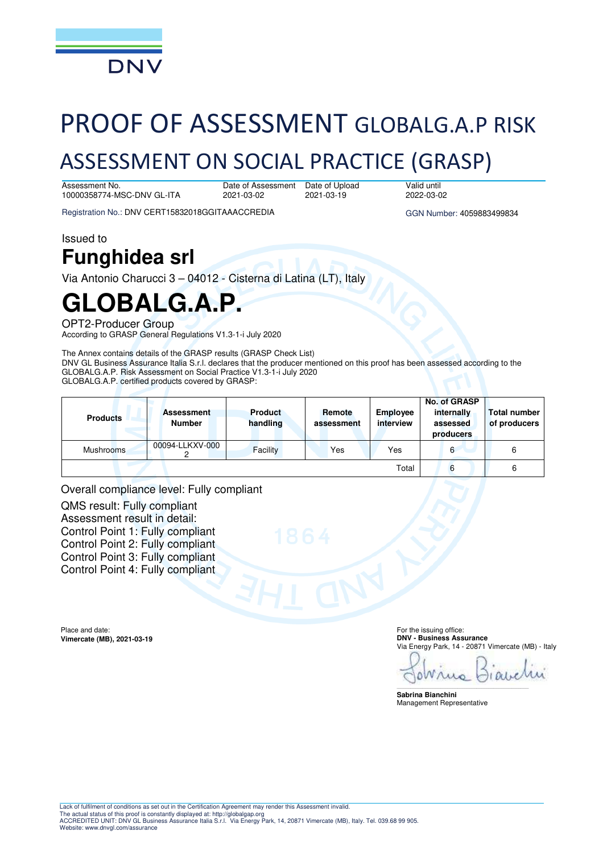

# PROOF OF ASSESSMENT GLOBALG.A.P RISK

## ASSESSMENT ON SOCIAL PRACTICE (GRASP)

Assessment No. 10000358774-MSC-DNV GL-ITA

Date of Assessment 2021-03-02

Date of Upload 2021-03-19

Valid until 2022-03-02

Registration No.: DNV CERT15832018GGITAAACCREDIA GGN Number: 4059883499834

Issued to

## **Funghidea srl**

Via Antonio Charucci 3 – 04012 - Cisterna di Latina (LT), Italy

# **GLOBALG.A.P.**

OPT2-Producer Group

According to GRASP General Regulations V1.3-1-i July 2020

The Annex contains details of the GRASP results (GRASP Check List) DNV GL Business Assurance Italia S.r.l. declares that the producer mentioned on this proof has been assessed according to the GLOBALG.A.P. Risk Assessment on Social Practice V1.3-1-i July 2020 GLOBALG.A.P. certified products covered by GRASP:

| <b>Products</b> | <b>Assessment</b><br><b>Number</b> | <b>Product</b><br>handling | Remote<br>assessment | Employee<br>interview | No. of GRASP<br>internally<br>assessed<br>producers | <b>Total number</b><br>of producers |
|-----------------|------------------------------------|----------------------------|----------------------|-----------------------|-----------------------------------------------------|-------------------------------------|
| Mushrooms       | 00094-LLKXV-000                    | Facility                   | Yes                  | Yes                   | 6                                                   | 6                                   |
|                 |                                    |                            |                      | Total                 | 6                                                   | 6                                   |

Overall compliance level: Fully compliant

QMS result: Fully compliant Assessment result in detail: Control Point 1: Fully compliant Control Point 2: Fully compliant Control Point 3: Fully compliant Control Point 4: Fully compliant

Place and date: **Vimercate (MB), 2021-03-19**  For the issuing office: **DNV - Business Assurance**  Via Energy Park, 14 - 20871 Vimercate (MB) - Italy

Wru Δ

\_\_\_\_\_\_\_\_\_\_\_\_\_\_\_\_\_\_\_\_\_\_\_\_\_\_\_\_\_\_\_\_\_\_\_\_\_\_\_\_\_\_\_\_\_\_\_\_\_\_\_\_\_\_\_\_\_\_\_\_\_\_\_\_\_\_\_\_\_\_\_\_\_\_\_\_\_\_

**Sabrina Bianchini**  Management Representative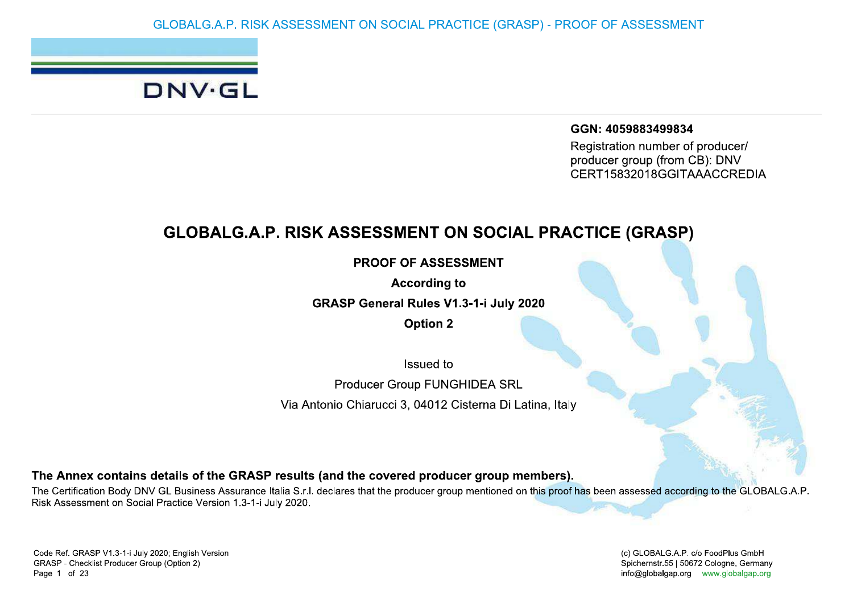## DNV.GL

GGN: 4059883499834

Registration number of producer/ producer group (from CB): DNV CERT15832018GGITAAACCREDIA

## **GLOBALG.A.P. RISK ASSESSMENT ON SOCIAL PRACTICE (GRASP)**

**PROOF OF ASSESSMENT** 

**According to** 

**GRASP General Rules V1.3-1-i July 2020** 

**Option 2** 

Issued to

**Producer Group FUNGHIDEA SRL** 

Via Antonio Chiarucci 3, 04012 Cisterna Di Latina, Italy

The Annex contains details of the GRASP results (and the covered producer group members).

The Certification Body DNV GL Business Assurance Italia S.r.l. declares that the producer group mentioned on this proof has been assessed according to the GLOBALG.A.P. Risk Assessment on Social Practice Version 1.3-1-i July 2020.

(c) GLOBALG.A.P. c/o FoodPlus GmbH Spichernstr.55 | 50672 Cologne, Germany info@globalgap.org www.globalgap.org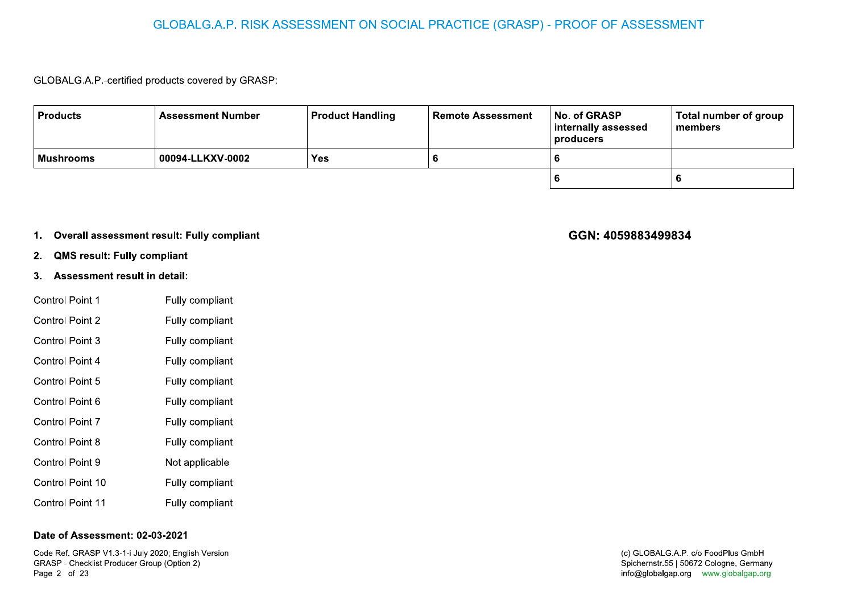### GLOBALG.A.P. RISK ASSESSMENT ON SOCIAL PRACTICE (GRASP) - PROOF OF ASSESSMENT

### GLOBALG.A.P.-certified products covered by GRASP:

| <b>Products</b> | <b>Assessment Number</b> | <b>Product Handling</b> | <b>Remote Assessment</b> | No. of GRASP<br>  internally assessed<br>producers | Total number of group<br>∣ members |
|-----------------|--------------------------|-------------------------|--------------------------|----------------------------------------------------|------------------------------------|
| Mushrooms       | 00094-LLKXV-0002         | Yes                     |                          |                                                    |                                    |
|                 |                          |                         |                          |                                                    |                                    |

### 1. Overall assessment result: Fully compliant

- **QMS result: Fully compliant**  $2.$
- 3. Assessment result in detail:

| <b>Control Point 1</b>  | Fully compliant |
|-------------------------|-----------------|
| Control Point 2         | Fully compliant |
| Control Point 3         | Fully compliant |
| Control Point 4         | Fully compliant |
| Control Point 5         | Fully compliant |
| Control Point 6         | Fully compliant |
| Control Point 7         | Fully compliant |
| Control Point 8         | Fully compliant |
| Control Point 9         | Not applicable  |
| Control Point 10        | Fully compliant |
| <b>Control Point 11</b> | Fully compliant |

### Date of Assessment: 02-03-2021

Code Ref. GRASP V1.3-1-i July 2020; English Version GRASP - Checklist Producer Group (Option 2) Page 2 of 23

### GGN: 4059883499834

### (c) GLOBALG.A.P. c/o FoodPlus GmbH Spichernstr.55 | 50672 Cologne, Germany info@globalgap.org www.globalgap.org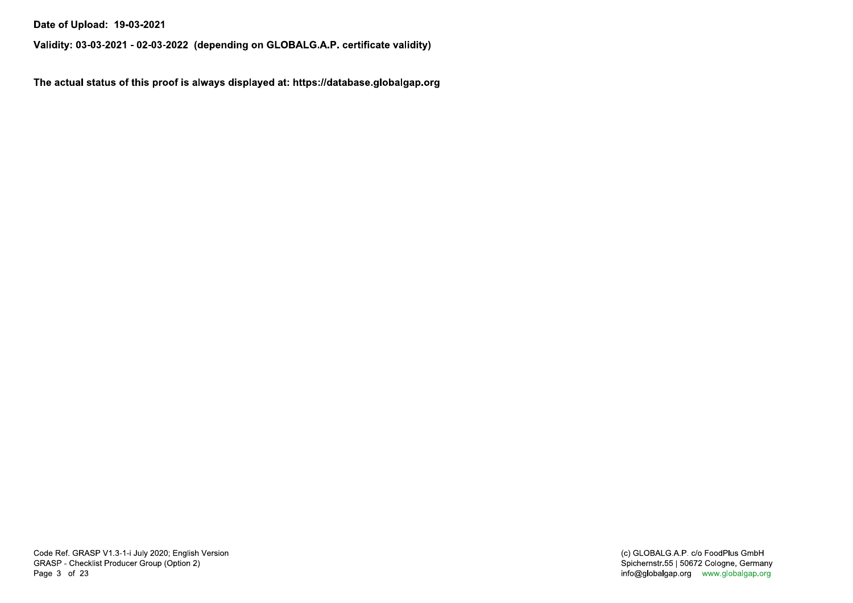Date of Upload: 19-03-2021

Validity: 03-03-2021 - 02-03-2022 (depending on GLOBALG.A.P. certificate validity)

The actual status of this proof is always displayed at: https://database.globalgap.org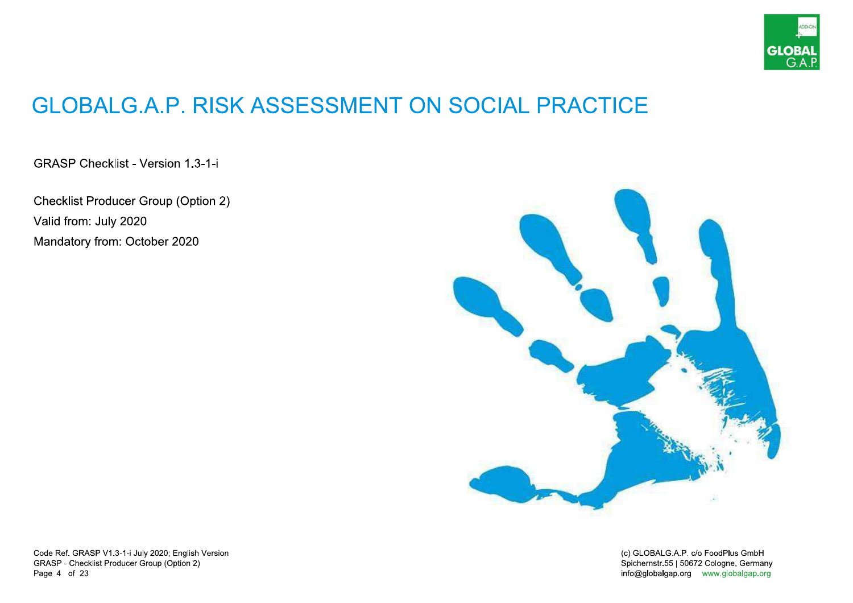

## **GLOBALG.A.P. RISK ASSESSMENT ON SOCIAL PRACTICE**

**GRASP Checklist - Version 1.3-1-i** 

**Checklist Producer Group (Option 2)** Valid from: July 2020 Mandatory from: October 2020



Code Ref. GRASP V1.3-1-i July 2020; English Version GRASP - Checklist Producer Group (Option 2) Page 4 of 23

(c) GLOBALG.A.P. c/o FoodPlus GmbH Spichernstr.55 | 50672 Cologne, Germany info@globalgap.org www.globalgap.org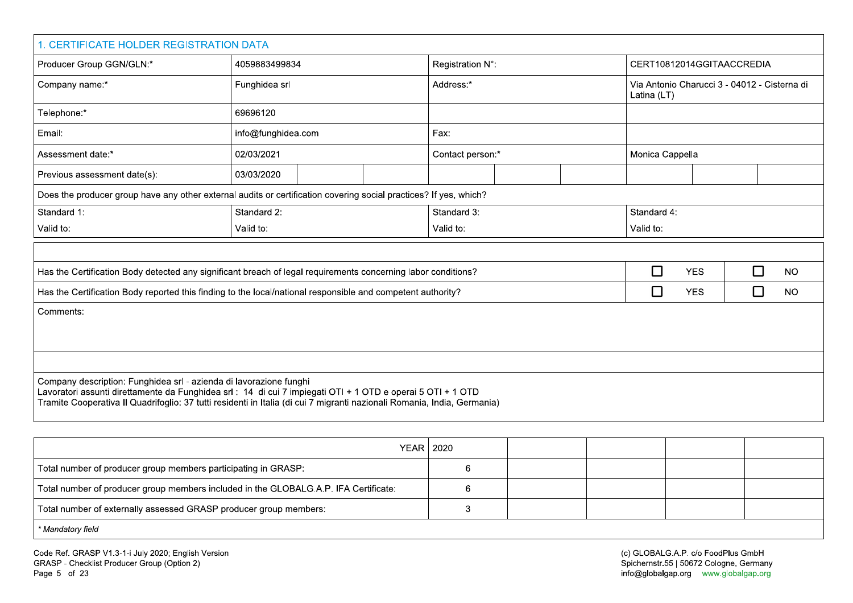| 1. CERTIFICATE HOLDER REGISTRATION DATA                                                                                                                                                                                                                                                                       |                    |  |      |                  |                  |  |                                                             |                 |   |  |           |  |
|---------------------------------------------------------------------------------------------------------------------------------------------------------------------------------------------------------------------------------------------------------------------------------------------------------------|--------------------|--|------|------------------|------------------|--|-------------------------------------------------------------|-----------------|---|--|-----------|--|
| Producer Group GGN/GLN:*                                                                                                                                                                                                                                                                                      | 4059883499834      |  |      | Registration N°: |                  |  | CERT10812014GGITAACCREDIA                                   |                 |   |  |           |  |
| Company name:*                                                                                                                                                                                                                                                                                                | Funghidea srl      |  |      | Address:*        |                  |  | Via Antonio Charucci 3 - 04012 - Cisterna di<br>Latina (LT) |                 |   |  |           |  |
| Telephone:*                                                                                                                                                                                                                                                                                                   | 69696120           |  |      |                  |                  |  |                                                             |                 |   |  |           |  |
| Email:                                                                                                                                                                                                                                                                                                        | info@funghidea.com |  | Fax: |                  |                  |  |                                                             |                 |   |  |           |  |
| Assessment date:*                                                                                                                                                                                                                                                                                             | 02/03/2021         |  |      |                  | Contact person:* |  |                                                             | Monica Cappella |   |  |           |  |
| Previous assessment date(s):                                                                                                                                                                                                                                                                                  | 03/03/2020         |  |      |                  |                  |  |                                                             |                 |   |  |           |  |
| Does the producer group have any other external audits or certification covering social practices? If yes, which?                                                                                                                                                                                             |                    |  |      |                  |                  |  |                                                             |                 |   |  |           |  |
| Standard 1:                                                                                                                                                                                                                                                                                                   | Standard 2:        |  |      | Standard 3:      |                  |  | Standard 4:                                                 |                 |   |  |           |  |
| Valid to:                                                                                                                                                                                                                                                                                                     | Valid to:          |  |      | Valid to:        |                  |  | Valid to:                                                   |                 |   |  |           |  |
|                                                                                                                                                                                                                                                                                                               |                    |  |      |                  |                  |  |                                                             |                 |   |  |           |  |
| Has the Certification Body detected any significant breach of legal requirements concerning labor conditions?                                                                                                                                                                                                 |                    |  |      |                  |                  |  | $\Box$                                                      | <b>YES</b>      | □ |  | <b>NO</b> |  |
| Has the Certification Body reported this finding to the local/national responsible and competent authority?                                                                                                                                                                                                   |                    |  |      |                  |                  |  | □                                                           | <b>YES</b>      | □ |  | <b>NO</b> |  |
| Comments:                                                                                                                                                                                                                                                                                                     |                    |  |      |                  |                  |  |                                                             |                 |   |  |           |  |
|                                                                                                                                                                                                                                                                                                               |                    |  |      |                  |                  |  |                                                             |                 |   |  |           |  |
|                                                                                                                                                                                                                                                                                                               |                    |  |      |                  |                  |  |                                                             |                 |   |  |           |  |
|                                                                                                                                                                                                                                                                                                               |                    |  |      |                  |                  |  |                                                             |                 |   |  |           |  |
| Company description: Funghidea srl - azienda di lavorazione funghi<br>Lavoratori assunti direttamente da Funghidea srl : 14 di cui 7 impiegati OTI + 1 OTD e operai 5 OTI + 1 OTD<br>Tramite Cooperativa II Quadrifoglio: 37 tutti residenti in Italia (di cui 7 migranti nazionali Romania, India, Germania) |                    |  |      |                  |                  |  |                                                             |                 |   |  |           |  |

| YEAR   2020                                                                          |  |  |  |
|--------------------------------------------------------------------------------------|--|--|--|
| Total number of producer group members participating in GRASP:                       |  |  |  |
| Total number of producer group members included in the GLOBALG.A.P. IFA Certificate: |  |  |  |
| Total number of externally assessed GRASP producer group members:                    |  |  |  |
| * Mandatory field                                                                    |  |  |  |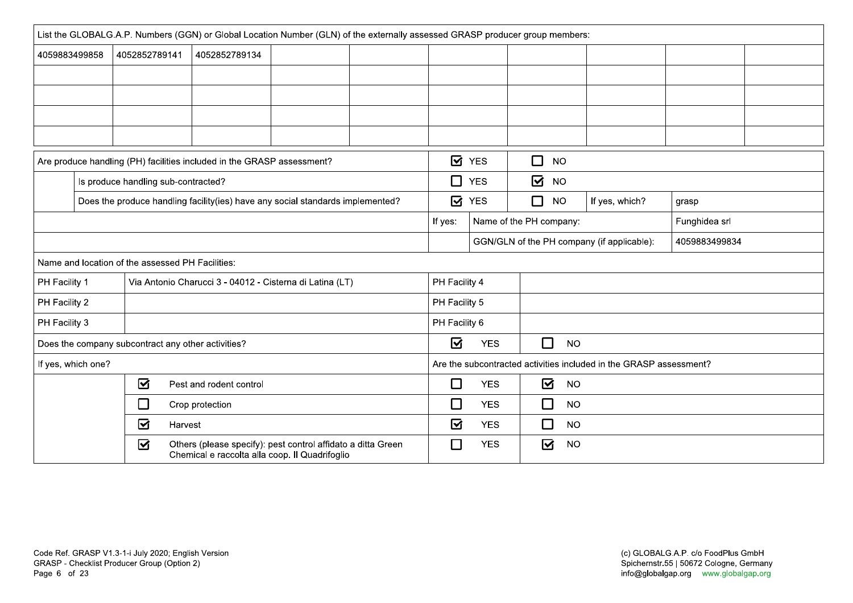|               | List the GLOBALG.A.P. Numbers (GGN) or Global Location Number (GLN) of the externally assessed GRASP producer group members: |                                                  |                                                                                                                |  |         |                         |                         |  |                                      |           |                                                                    |               |  |  |
|---------------|------------------------------------------------------------------------------------------------------------------------------|--------------------------------------------------|----------------------------------------------------------------------------------------------------------------|--|---------|-------------------------|-------------------------|--|--------------------------------------|-----------|--------------------------------------------------------------------|---------------|--|--|
|               | 4059883499858                                                                                                                | 4052852789141                                    | 4052852789134                                                                                                  |  |         |                         |                         |  |                                      |           |                                                                    |               |  |  |
|               |                                                                                                                              |                                                  |                                                                                                                |  |         |                         |                         |  |                                      |           |                                                                    |               |  |  |
|               |                                                                                                                              |                                                  |                                                                                                                |  |         |                         |                         |  |                                      |           |                                                                    |               |  |  |
|               |                                                                                                                              |                                                  |                                                                                                                |  |         |                         |                         |  |                                      |           |                                                                    |               |  |  |
|               |                                                                                                                              |                                                  |                                                                                                                |  |         |                         |                         |  |                                      |           |                                                                    |               |  |  |
|               |                                                                                                                              |                                                  | Are produce handling (PH) facilities included in the GRASP assessment?                                         |  |         |                         | $\mathbf{a}$ YES        |  | $\Box$<br><b>NO</b>                  |           |                                                                    |               |  |  |
|               |                                                                                                                              | Is produce handling sub-contracted?              |                                                                                                                |  |         | □                       | <b>YES</b>              |  | $\overline{\mathbf{S}}$<br><b>NO</b> |           |                                                                    |               |  |  |
|               |                                                                                                                              |                                                  | Does the produce handling facility(ies) have any social standards implemented?                                 |  |         | <b>Ø</b> YES            |                         |  | $\Box$<br><b>NO</b>                  |           | If yes, which?                                                     | grasp         |  |  |
|               |                                                                                                                              |                                                  |                                                                                                                |  | If yes: |                         | Name of the PH company: |  |                                      |           | Funghidea srl                                                      |               |  |  |
|               |                                                                                                                              |                                                  |                                                                                                                |  |         |                         |                         |  |                                      |           | GGN/GLN of the PH company (if applicable):                         | 4059883499834 |  |  |
|               |                                                                                                                              | Name and location of the assessed PH Facilities: |                                                                                                                |  |         |                         |                         |  |                                      |           |                                                                    |               |  |  |
| PH Facility 1 |                                                                                                                              |                                                  | Via Antonio Charucci 3 - 04012 - Cisterna di Latina (LT)                                                       |  |         | PH Facility 4           |                         |  |                                      |           |                                                                    |               |  |  |
| PH Facility 2 |                                                                                                                              |                                                  |                                                                                                                |  |         | PH Facility 5           |                         |  |                                      |           |                                                                    |               |  |  |
| PH Facility 3 |                                                                                                                              |                                                  |                                                                                                                |  |         | PH Facility 6           |                         |  |                                      |           |                                                                    |               |  |  |
|               |                                                                                                                              |                                                  | Does the company subcontract any other activities?                                                             |  |         | ☑                       | <b>YES</b>              |  | $\Box$                               | <b>NO</b> |                                                                    |               |  |  |
|               | If yes, which one?                                                                                                           |                                                  |                                                                                                                |  |         |                         |                         |  |                                      |           | Are the subcontracted activities included in the GRASP assessment? |               |  |  |
|               |                                                                                                                              | ☑                                                | Pest and rodent control                                                                                        |  |         | $\Box$                  | <b>YES</b>              |  | ☑                                    | <b>NO</b> |                                                                    |               |  |  |
|               |                                                                                                                              | □                                                | Crop protection                                                                                                |  |         | □                       | <b>YES</b>              |  | □                                    | <b>NO</b> |                                                                    |               |  |  |
|               |                                                                                                                              | ☑                                                | Harvest                                                                                                        |  |         | $\overline{\mathbf{S}}$ | <b>YES</b>              |  | $\Box$                               | <b>NO</b> |                                                                    |               |  |  |
|               |                                                                                                                              | ☑                                                | Others (please specify): pest control affidato a ditta Green<br>Chemical e raccolta alla coop. Il Quadrifoglio |  |         | $\Box$                  | <b>YES</b>              |  | ☑                                    | <b>NO</b> |                                                                    |               |  |  |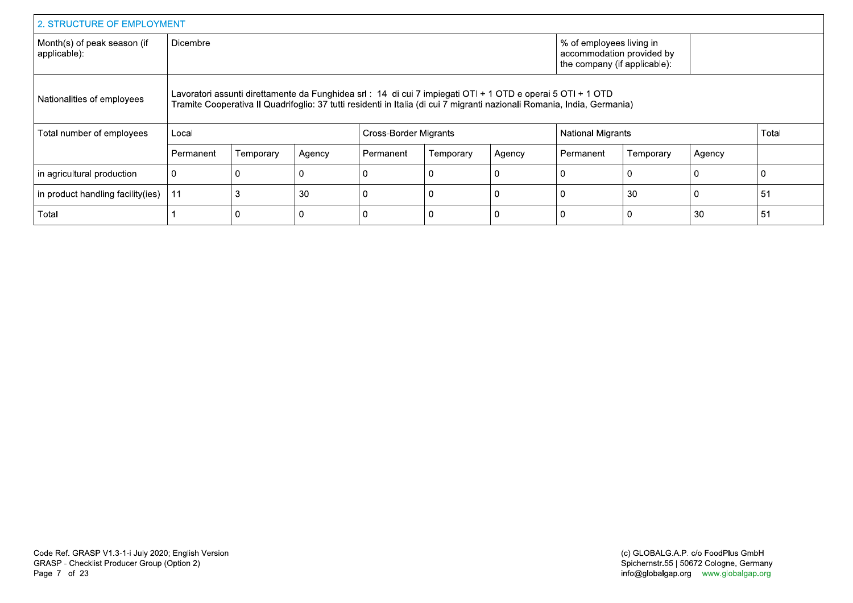|                                             | 2. STRUCTURE OF EMPLOYMENT |           |        |                                                                                                             |           |        |                                                                                                                          |           |             |       |  |  |
|---------------------------------------------|----------------------------|-----------|--------|-------------------------------------------------------------------------------------------------------------|-----------|--------|--------------------------------------------------------------------------------------------------------------------------|-----------|-------------|-------|--|--|
| Month(s) of peak season (if<br>applicable): | <b>Dicembre</b>            |           |        |                                                                                                             |           |        | % of employees living in<br>accommodation provided by<br>the company (if applicable):                                    |           |             |       |  |  |
| Nationalities of employees                  |                            |           |        | Lavoratori assunti direttamente da Funghidea srl : 14 di cui 7 impiegati OTI + 1 OTD e operai 5 OTI + 1 OTD |           |        | Tramite Cooperativa II Quadrifoglio: 37 tutti residenti in Italia (di cui 7 migranti nazionali Romania, India, Germania) |           |             |       |  |  |
| Total number of employees                   | Local                      |           |        | Cross-Border Migrants                                                                                       |           |        | <b>National Migrants</b>                                                                                                 |           |             | Total |  |  |
|                                             | Permanent                  | Temporary | Agency | Permanent                                                                                                   | Temporary | Agency | Permanent                                                                                                                | Temporary | Agency      |       |  |  |
| in agricultural production                  |                            |           |        |                                                                                                             |           |        | 0                                                                                                                        |           | 0           |       |  |  |
| in product handling facility (ies)          | 11                         |           | 30     | $\Omega$                                                                                                    | $\Omega$  |        | 0                                                                                                                        | 30        | $\mathbf 0$ | 51    |  |  |
| Total                                       |                            |           | 0      | 0                                                                                                           | 0         |        | 0                                                                                                                        | 0         | 30          | 51    |  |  |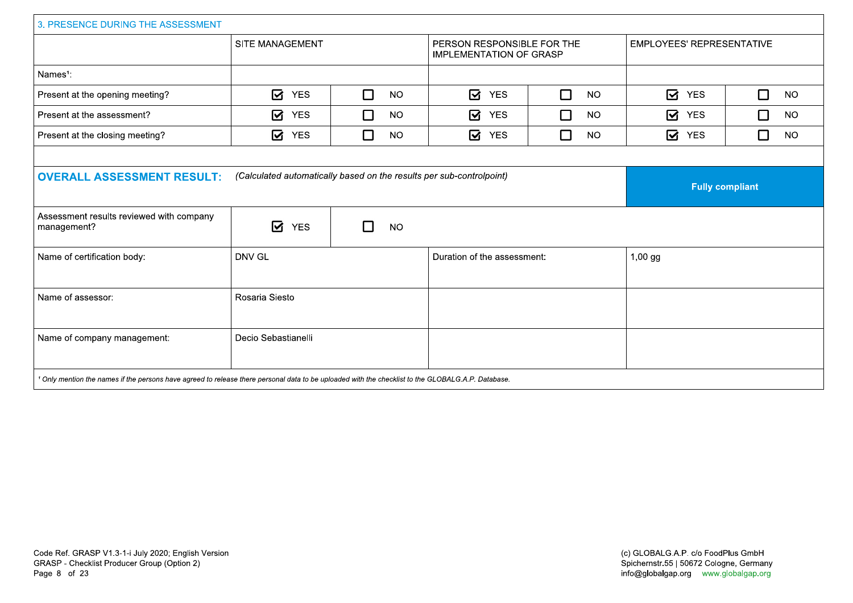| 3. PRESENCE DURING THE ASSESSMENT                                                                                                                             |                     |                     |                                                              |                     |                                      |                     |  |  |  |
|---------------------------------------------------------------------------------------------------------------------------------------------------------------|---------------------|---------------------|--------------------------------------------------------------|---------------------|--------------------------------------|---------------------|--|--|--|
|                                                                                                                                                               | SITE MANAGEMENT     |                     | PERSON RESPONSIBLE FOR THE<br><b>IMPLEMENTATION OF GRASP</b> |                     | <b>EMPLOYEES' REPRESENTATIVE</b>     |                     |  |  |  |
| Names <sup>1</sup> :                                                                                                                                          |                     |                     |                                                              |                     |                                      |                     |  |  |  |
| Present at the opening meeting?                                                                                                                               | ☑<br><b>YES</b>     | $\Box$<br><b>NO</b> | ☑<br><b>YES</b>                                              | $\Box$<br><b>NO</b> | $\boldsymbol{\boxdot}$<br><b>YES</b> | $\Box$<br><b>NO</b> |  |  |  |
| Present at the assessment?                                                                                                                                    | ☑<br><b>YES</b>     | $\Box$<br><b>NO</b> | $\overline{\mathbf{z}}$<br><b>YES</b>                        | $\Box$<br><b>NO</b> | $\boldsymbol{\boxdot}$<br><b>YES</b> | $\Box$<br><b>NO</b> |  |  |  |
| Present at the closing meeting?                                                                                                                               | ☑<br><b>YES</b>     | П<br><b>NO</b>      | ☑<br><b>YES</b>                                              | $\Box$<br><b>NO</b> | ☑<br><b>YES</b>                      | $\Box$<br><b>NO</b> |  |  |  |
|                                                                                                                                                               |                     |                     |                                                              |                     |                                      |                     |  |  |  |
| (Calculated automatically based on the results per sub-controlpoint)<br><b>OVERALL ASSESSMENT RESULT:</b>                                                     |                     |                     |                                                              |                     | <b>Fully compliant</b>               |                     |  |  |  |
| Assessment results reviewed with company<br>management?                                                                                                       | ☑<br><b>YES</b>     | <b>NO</b>           |                                                              |                     |                                      |                     |  |  |  |
| Name of certification body:                                                                                                                                   | DNV GL              |                     | Duration of the assessment:                                  |                     | $1,00$ gg                            |                     |  |  |  |
| Name of assessor:                                                                                                                                             | Rosaria Siesto      |                     |                                                              |                     |                                      |                     |  |  |  |
| Name of company management:                                                                                                                                   | Decio Sebastianelli |                     |                                                              |                     |                                      |                     |  |  |  |
| <sup>1</sup> Only mention the names if the persons have agreed to release there personal data to be uploaded with the checklist to the GLOBALG.A.P. Database. |                     |                     |                                                              |                     |                                      |                     |  |  |  |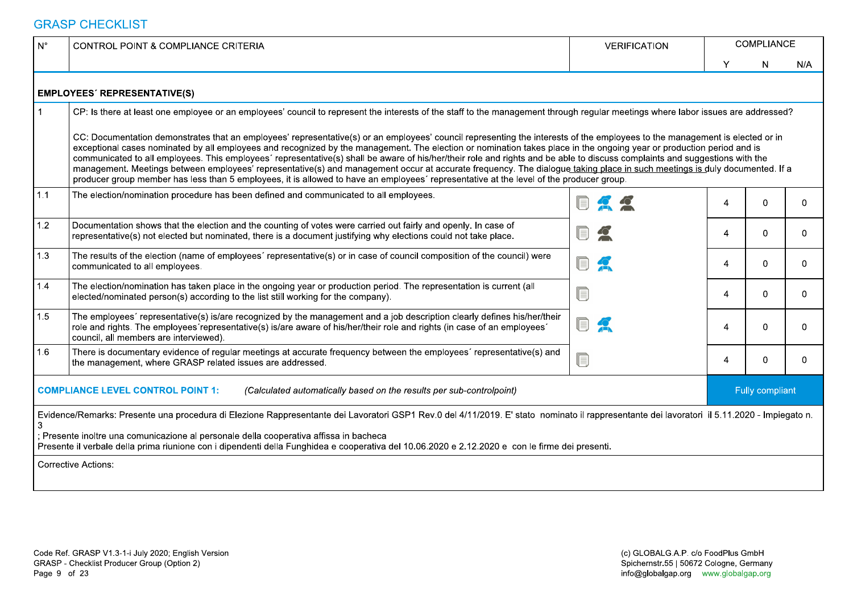| $\mathsf{N}^\circ$ | <b>CONTROL POINT &amp; COMPLIANCE CRITERIA</b>                                                                                                                                                                                                                                                                                                                                                                                                                                                                                                                                                                                                                                                                                                                                                                                                              | <b>VERIFICATION</b>                                                                                                                                                                                                                                                                                                                                                                                                                                                                                                                                                                                                       |   | COMPLIANCE             |          |
|--------------------|-------------------------------------------------------------------------------------------------------------------------------------------------------------------------------------------------------------------------------------------------------------------------------------------------------------------------------------------------------------------------------------------------------------------------------------------------------------------------------------------------------------------------------------------------------------------------------------------------------------------------------------------------------------------------------------------------------------------------------------------------------------------------------------------------------------------------------------------------------------|---------------------------------------------------------------------------------------------------------------------------------------------------------------------------------------------------------------------------------------------------------------------------------------------------------------------------------------------------------------------------------------------------------------------------------------------------------------------------------------------------------------------------------------------------------------------------------------------------------------------------|---|------------------------|----------|
|                    |                                                                                                                                                                                                                                                                                                                                                                                                                                                                                                                                                                                                                                                                                                                                                                                                                                                             |                                                                                                                                                                                                                                                                                                                                                                                                                                                                                                                                                                                                                           | v | $\mathsf{N}$           | N/A      |
|                    | <b>EMPLOYEES' REPRESENTATIVE(S)</b>                                                                                                                                                                                                                                                                                                                                                                                                                                                                                                                                                                                                                                                                                                                                                                                                                         |                                                                                                                                                                                                                                                                                                                                                                                                                                                                                                                                                                                                                           |   |                        |          |
|                    | CP: Is there at least one employee or an employees' council to represent the interests of the staff to the management through regular meetings where labor issues are addressed?                                                                                                                                                                                                                                                                                                                                                                                                                                                                                                                                                                                                                                                                            |                                                                                                                                                                                                                                                                                                                                                                                                                                                                                                                                                                                                                           |   |                        |          |
|                    | CC: Documentation demonstrates that an employees' representative(s) or an employees' council representing the interests of the employees to the management is elected or in<br>exceptional cases nominated by all employees and recognized by the management. The election or nomination takes place in the ongoing year or production period and is<br>communicated to all employees. This employees' representative(s) shall be aware of his/her/their role and rights and be able to discuss complaints and suggestions with the<br>management. Meetings between employees' representative(s) and management occur at accurate frequency. The dialogue taking place in such meetings is duly documented. If a<br>producer group member has less than 5 employees, it is allowed to have an employees' representative at the level of the producer group. |                                                                                                                                                                                                                                                                                                                                                                                                                                                                                                                                                                                                                           |   |                        |          |
| 1.1                | The election/nomination procedure has been defined and communicated to all employees.                                                                                                                                                                                                                                                                                                                                                                                                                                                                                                                                                                                                                                                                                                                                                                       |                                                                                                                                                                                                                                                                                                                                                                                                                                                                                                                                                                                                                           | 4 | $\Omega$               | $\Omega$ |
| $1.2$              | Documentation shows that the election and the counting of votes were carried out fairly and openly. In case of<br>representative(s) not elected but nominated, there is a document justifying why elections could not take place.                                                                                                                                                                                                                                                                                                                                                                                                                                                                                                                                                                                                                           | $\Box$<br>$\overline{\phantom{a}}$                                                                                                                                                                                                                                                                                                                                                                                                                                                                                                                                                                                        | 4 | $\mathbf{0}$           | 0        |
| 1.3                | The results of the election (name of employees' representative(s) or in case of council composition of the council) were<br>communicated to all employees.                                                                                                                                                                                                                                                                                                                                                                                                                                                                                                                                                                                                                                                                                                  | $\blacksquare$<br>$\mathbf{R}$                                                                                                                                                                                                                                                                                                                                                                                                                                                                                                                                                                                            | 4 | 0                      | $\Omega$ |
| 1.4                | The election/nomination has taken place in the ongoing year or production period. The representation is current (all<br>elected/nominated person(s) according to the list still working for the company).                                                                                                                                                                                                                                                                                                                                                                                                                                                                                                                                                                                                                                                   | C                                                                                                                                                                                                                                                                                                                                                                                                                                                                                                                                                                                                                         | 4 | $\mathbf{0}$           | 0        |
| 1.5                | The employees' representative(s) is/are recognized by the management and a job description clearly defines his/her/their<br>role and rights. The employees'representative(s) is/are aware of his/her/their role and rights (in case of an employees'<br>council, all members are interviewed).                                                                                                                                                                                                                                                                                                                                                                                                                                                                                                                                                              | UJ<br>$\mathbf{A}$                                                                                                                                                                                                                                                                                                                                                                                                                                                                                                                                                                                                        | 4 | $\mathbf{0}$           | 0        |
| 1.6                | There is documentary evidence of regular meetings at accurate frequency between the employees' representative(s) and<br>the management, where GRASP related issues are addressed.                                                                                                                                                                                                                                                                                                                                                                                                                                                                                                                                                                                                                                                                           | $\begin{tabular}{ c c } \hline \quad \quad & \quad \quad & \quad \quad \\ \hline \quad \quad & \quad \quad & \quad \quad \\ \hline \quad \quad & \quad \quad & \quad \quad \\ \hline \quad \quad & \quad \quad & \quad \quad \\ \hline \quad \quad & \quad \quad & \quad \quad \\ \hline \quad \quad & \quad \quad & \quad \quad \\ \hline \quad \quad & \quad \quad & \quad \quad \\ \hline \quad \quad & \quad \quad & \quad \quad \\ \hline \quad \quad & \quad \quad & \quad \quad \\ \hline \quad \quad & \quad \quad & \quad \quad \\ \hline \quad \quad & \quad \quad & \quad \quad \\ \hline \quad \quad & \quad$ | 4 | $\Omega$               |          |
|                    | <b>COMPLIANCE LEVEL CONTROL POINT 1:</b><br>(Calculated automatically based on the results per sub-controlpoint)                                                                                                                                                                                                                                                                                                                                                                                                                                                                                                                                                                                                                                                                                                                                            |                                                                                                                                                                                                                                                                                                                                                                                                                                                                                                                                                                                                                           |   | <b>Fully compliant</b> |          |
|                    | Evidence/Remarks: Presente una procedura di Elezione Rappresentante dei Lavoratori GSP1 Rev.0 del 4/11/2019. E' stato nominato il rappresentante dei lavoratori il 5.11.2020 - Impiegato n.<br>; Presente inoltre una comunicazione al personale della cooperativa affissa in bacheca<br>Presente il verbale della prima riunione con i dipendenti della Funghidea e cooperativa del 10.06.2020 e 2.12.2020 e con le firme dei presenti.<br><b>Corrective Actions:</b>                                                                                                                                                                                                                                                                                                                                                                                      |                                                                                                                                                                                                                                                                                                                                                                                                                                                                                                                                                                                                                           |   |                        |          |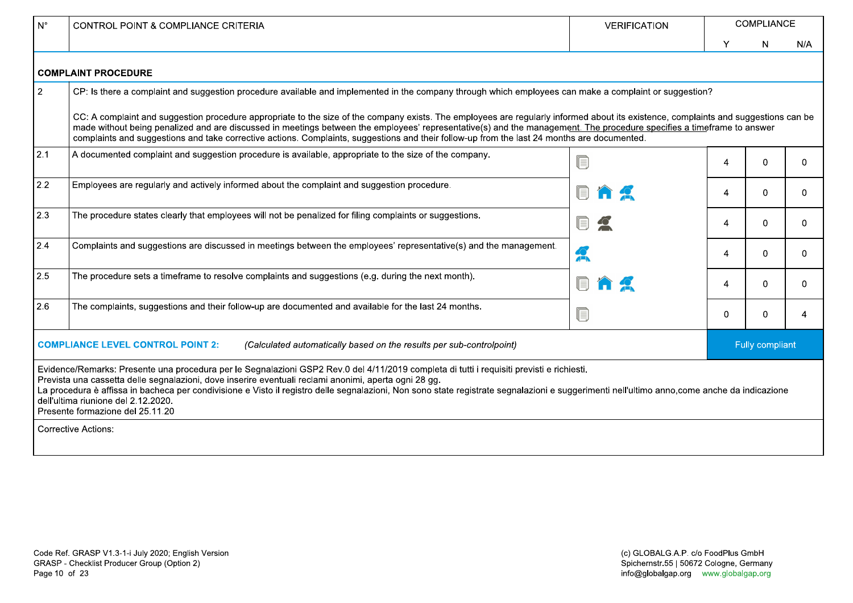| $N^{\circ}$    | CONTROL POINT & COMPLIANCE CRITERIA                                                                                                                                                                                                                                                                                                                                                                                                                                                                                          | <b>VERIFICATION</b> |   | <b>COMPLIANCE</b>      |          |  |  |  |  |  |
|----------------|------------------------------------------------------------------------------------------------------------------------------------------------------------------------------------------------------------------------------------------------------------------------------------------------------------------------------------------------------------------------------------------------------------------------------------------------------------------------------------------------------------------------------|---------------------|---|------------------------|----------|--|--|--|--|--|
|                |                                                                                                                                                                                                                                                                                                                                                                                                                                                                                                                              |                     | Υ | N.                     | N/A      |  |  |  |  |  |
|                | <b>COMPLAINT PROCEDURE</b>                                                                                                                                                                                                                                                                                                                                                                                                                                                                                                   |                     |   |                        |          |  |  |  |  |  |
| $\overline{2}$ | CP: Is there a complaint and suggestion procedure available and implemented in the company through which employees can make a complaint or suggestion?                                                                                                                                                                                                                                                                                                                                                                       |                     |   |                        |          |  |  |  |  |  |
|                | CC: A complaint and suggestion procedure appropriate to the size of the company exists. The employees are regularly informed about its existence, complaints and suggestions can be<br>made without being penalized and are discussed in meetings between the employees' representative(s) and the management. The procedure specifies a timeframe to answer<br>complaints and suggestions and take corrective actions. Complaints, suggestions and their follow-up from the last 24 months are documented.                  |                     |   |                        |          |  |  |  |  |  |
| 2.1            | A documented complaint and suggestion procedure is available, appropriate to the size of the company.                                                                                                                                                                                                                                                                                                                                                                                                                        |                     | 4 | 0                      | $\Omega$ |  |  |  |  |  |
| 2.2            | Employees are regularly and actively informed about the complaint and suggestion procedure.                                                                                                                                                                                                                                                                                                                                                                                                                                  |                     | 4 | 0                      | $\Omega$ |  |  |  |  |  |
| 2.3            | The procedure states clearly that employees will not be penalized for filing complaints or suggestions.                                                                                                                                                                                                                                                                                                                                                                                                                      |                     | 4 | $\Omega$               | $\Omega$ |  |  |  |  |  |
| 2.4            | Complaints and suggestions are discussed in meetings between the employees' representative(s) and the management.                                                                                                                                                                                                                                                                                                                                                                                                            | A                   | 4 | $\Omega$               | $\Omega$ |  |  |  |  |  |
| 2.5            | The procedure sets a timeframe to resolve complaints and suggestions (e.g. during the next month).                                                                                                                                                                                                                                                                                                                                                                                                                           |                     | 4 | 0.                     | $\Omega$ |  |  |  |  |  |
| 2.6            | The complaints, suggestions and their follow-up are documented and available for the last 24 months.                                                                                                                                                                                                                                                                                                                                                                                                                         | U                   | 0 | $\Omega$               | 4        |  |  |  |  |  |
|                | <b>COMPLIANCE LEVEL CONTROL POINT 2:</b><br>(Calculated automatically based on the results per sub-controlpoint)                                                                                                                                                                                                                                                                                                                                                                                                             |                     |   | <b>Fully compliant</b> |          |  |  |  |  |  |
|                | Evidence/Remarks: Presente una procedura per le Segnalazioni GSP2 Rev.0 del 4/11/2019 completa di tutti i requisiti previsti e richiesti.<br>Prevista una cassetta delle segnalazioni, dove inserire eventuali reclami anonimi, aperta ogni 28 gg.<br>La procedura è affissa in bacheca per condivisione e Visto il registro delle segnalazioni, Non sono state registrate segnalazioni e suggerimenti nell'ultimo anno,come anche da indicazione<br>dell'ultima riunione del 2.12.2020.<br>Presente formazione del 25.11.20 |                     |   |                        |          |  |  |  |  |  |
|                | <b>Corrective Actions:</b>                                                                                                                                                                                                                                                                                                                                                                                                                                                                                                   |                     |   |                        |          |  |  |  |  |  |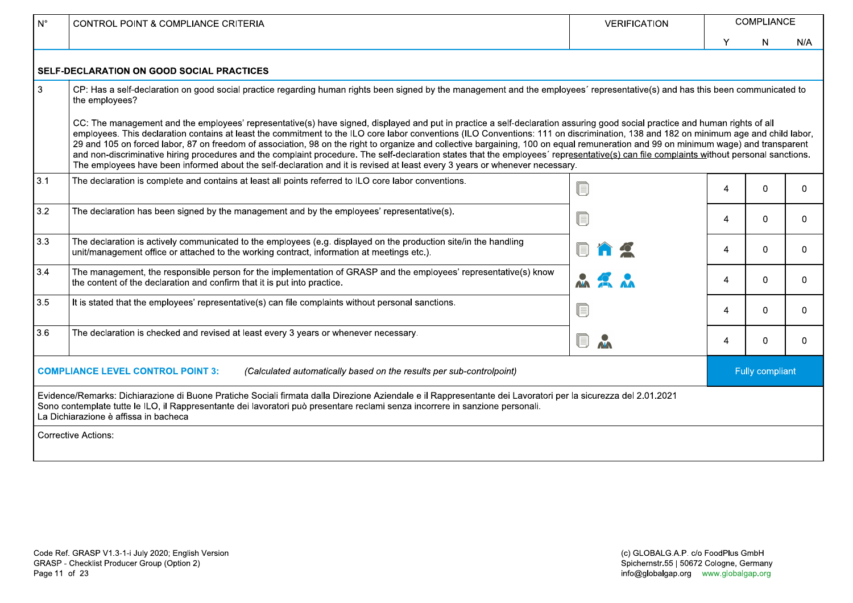| $N^{\circ}$  | CONTROL POINT & COMPLIANCE CRITERIA                                                                                                                                                                                                                                                                                                                                                                                                                                                                                                                                                                                                                                                                                                                                                                                                                                                | <b>VERIFICATION</b>          | COMPLIANCE |                 |          |  |
|--------------|------------------------------------------------------------------------------------------------------------------------------------------------------------------------------------------------------------------------------------------------------------------------------------------------------------------------------------------------------------------------------------------------------------------------------------------------------------------------------------------------------------------------------------------------------------------------------------------------------------------------------------------------------------------------------------------------------------------------------------------------------------------------------------------------------------------------------------------------------------------------------------|------------------------------|------------|-----------------|----------|--|
|              |                                                                                                                                                                                                                                                                                                                                                                                                                                                                                                                                                                                                                                                                                                                                                                                                                                                                                    |                              | Y          | N               | N/A      |  |
|              | SELF-DECLARATION ON GOOD SOCIAL PRACTICES                                                                                                                                                                                                                                                                                                                                                                                                                                                                                                                                                                                                                                                                                                                                                                                                                                          |                              |            |                 |          |  |
| $\mathbf{3}$ | CP: Has a self-declaration on good social practice regarding human rights been signed by the management and the employees' representative(s) and has this been communicated to<br>the employees?                                                                                                                                                                                                                                                                                                                                                                                                                                                                                                                                                                                                                                                                                   |                              |            |                 |          |  |
|              | CC: The management and the employees' representative(s) have signed, displayed and put in practice a self-declaration assuring good social practice and human rights of all<br>employees. This declaration contains at least the commitment to the ILO core labor conventions (ILO Conventions: 111 on discrimination, 138 and 182 on minimum age and child labor,<br>29 and 105 on forced labor, 87 on freedom of association, 98 on the right to organize and collective bargaining, 100 on equal remuneration and 99 on minimum wage) and transparent<br>and non-discriminative hiring procedures and the complaint procedure. The self-declaration states that the employees' representative(s) can file complaints without personal sanctions.<br>The employees have been informed about the self-declaration and it is revised at least every 3 years or whenever necessary. |                              |            |                 |          |  |
| 3.1          | The declaration is complete and contains at least all points referred to ILO core labor conventions.                                                                                                                                                                                                                                                                                                                                                                                                                                                                                                                                                                                                                                                                                                                                                                               | ſ.                           | 4          | 0               | $\Omega$ |  |
| 3.2          | The declaration has been signed by the management and by the employees' representative(s).                                                                                                                                                                                                                                                                                                                                                                                                                                                                                                                                                                                                                                                                                                                                                                                         | ſ.                           | 4          | $\Omega$        | $\Omega$ |  |
| 3.3          | The declaration is actively communicated to the employees (e.g. displayed on the production site/in the handling<br>unit/management office or attached to the working contract, information at meetings etc.).                                                                                                                                                                                                                                                                                                                                                                                                                                                                                                                                                                                                                                                                     |                              | 4          | 0               | $\Omega$ |  |
| 3.4          | The management, the responsible person for the implementation of GRASP and the employees' representative(s) know<br>the content of the declaration and confirm that it is put into practice.                                                                                                                                                                                                                                                                                                                                                                                                                                                                                                                                                                                                                                                                                       |                              | 4          | 0               | $\Omega$ |  |
| $3.5$        | It is stated that the employees' representative(s) can file complaints without personal sanctions.                                                                                                                                                                                                                                                                                                                                                                                                                                                                                                                                                                                                                                                                                                                                                                                 | ſ.                           | 4          | 0               | $\Omega$ |  |
| 3.6          | The declaration is checked and revised at least every 3 years or whenever necessary.                                                                                                                                                                                                                                                                                                                                                                                                                                                                                                                                                                                                                                                                                                                                                                                               | $\blacksquare$<br><b>AVA</b> | 4          | 0               | $\Omega$ |  |
|              | <b>COMPLIANCE LEVEL CONTROL POINT 3:</b><br>(Calculated automatically based on the results per sub-controlpoint)                                                                                                                                                                                                                                                                                                                                                                                                                                                                                                                                                                                                                                                                                                                                                                   |                              |            | Fully compliant |          |  |
|              | Evidence/Remarks: Dichiarazione di Buone Pratiche Sociali firmata dalla Direzione Aziendale e il Rappresentante dei Lavoratori per la sicurezza del 2.01.2021<br>Sono contemplate tutte le ILO, il Rappresentante dei lavoratori può presentare reclami senza incorrere in sanzione personali.<br>La Dichiarazione è affissa in bacheca                                                                                                                                                                                                                                                                                                                                                                                                                                                                                                                                            |                              |            |                 |          |  |
|              | <b>Corrective Actions:</b>                                                                                                                                                                                                                                                                                                                                                                                                                                                                                                                                                                                                                                                                                                                                                                                                                                                         |                              |            |                 |          |  |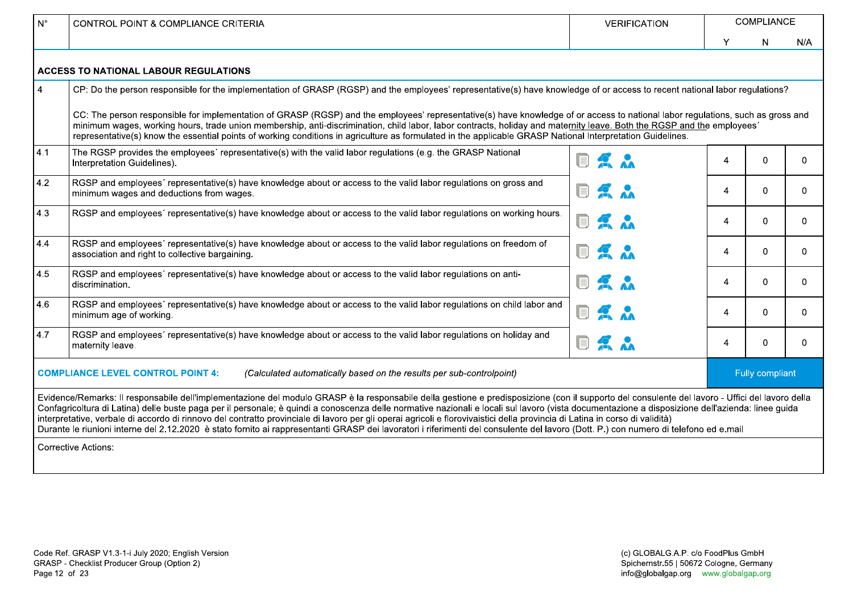| $N^{\circ}$    | <b>CONTROL POINT &amp; COMPLIANCE CRITERIA</b>                                                                                                                                                                                                                                                                                                                                                                                                                                                                                                                                                                                                                                                                                                                             | <b>VERIFICATION</b>         |                | <b>COMPLIANCE</b> |              |
|----------------|----------------------------------------------------------------------------------------------------------------------------------------------------------------------------------------------------------------------------------------------------------------------------------------------------------------------------------------------------------------------------------------------------------------------------------------------------------------------------------------------------------------------------------------------------------------------------------------------------------------------------------------------------------------------------------------------------------------------------------------------------------------------------|-----------------------------|----------------|-------------------|--------------|
|                |                                                                                                                                                                                                                                                                                                                                                                                                                                                                                                                                                                                                                                                                                                                                                                            |                             | Y              | N                 | N/A          |
|                | <b>ACCESS TO NATIONAL LABOUR REGULATIONS</b>                                                                                                                                                                                                                                                                                                                                                                                                                                                                                                                                                                                                                                                                                                                               |                             |                |                   |              |
| $\overline{4}$ | CP: Do the person responsible for the implementation of GRASP (RGSP) and the employees' representative(s) have knowledge of or access to recent national labor regulations?                                                                                                                                                                                                                                                                                                                                                                                                                                                                                                                                                                                                |                             |                |                   |              |
|                | CC: The person responsible for implementation of GRASP (RGSP) and the employees' representative(s) have knowledge of or access to national labor regulations, such as gross and<br>minimum wages, working hours, trade union membership, anti-discrimination, child labor, labor contracts, holiday and maternity leave. Both the RGSP and the employees'<br>representative(s) know the essential points of working conditions in agriculture as formulated in the applicable GRASP National Interpretation Guidelines.                                                                                                                                                                                                                                                    |                             |                |                   |              |
| 4.1            | The RGSP provides the employees' representative(s) with the valid labor regulations (e.g. the GRASP National<br>Interpretation Guidelines).                                                                                                                                                                                                                                                                                                                                                                                                                                                                                                                                                                                                                                | <b>AA</b>                   | 4              | $\Omega$          | $\Omega$     |
| 4.2            | RGSP and employees' representative(s) have knowledge about or access to the valid labor regulations on gross and<br>minimum wages and deductions from wages.                                                                                                                                                                                                                                                                                                                                                                                                                                                                                                                                                                                                               | $\frac{1}{2}$ $\frac{1}{2}$ | 4              | $\Omega$          | $\Omega$     |
| 4.3            | RGSP and employees' representative(s) have knowledge about or access to the valid labor regulations on working hours.                                                                                                                                                                                                                                                                                                                                                                                                                                                                                                                                                                                                                                                      | n<br>2 <sub>n</sub>         | 4              | $\Omega$          | $\mathbf{0}$ |
| 4.4            | RGSP and employees' representative(s) have knowledge about or access to the valid labor regulations on freedom of<br>association and right to collective bargaining.                                                                                                                                                                                                                                                                                                                                                                                                                                                                                                                                                                                                       | $\sum_{\lambda}$<br>H       | 4              | $\Omega$          | $\mathbf{0}$ |
| 4.5            | RGSP and employees' representative(s) have knowledge about or access to the valid labor regulations on anti-<br>discrimination.                                                                                                                                                                                                                                                                                                                                                                                                                                                                                                                                                                                                                                            | 同系入                         | 4              | $\Omega$          | $\mathbf{0}$ |
| 4.6            | RGSP and employees' representative(s) have knowledge about or access to the valid labor regulations on child labor and<br>minimum age of working.                                                                                                                                                                                                                                                                                                                                                                                                                                                                                                                                                                                                                          | <b>DA &amp;</b>             | 4              | $\Omega$          | $\Omega$     |
| 4.7            | RGSP and employees' representative(s) have knowledge about or access to the valid labor regulations on holiday and<br>maternity leave.                                                                                                                                                                                                                                                                                                                                                                                                                                                                                                                                                                                                                                     | <b>OK &amp;</b>             | $\overline{4}$ | 0                 | $\mathbf{0}$ |
|                | <b>COMPLIANCE LEVEL CONTROL POINT 4:</b><br>(Calculated automatically based on the results per sub-controlpoint)                                                                                                                                                                                                                                                                                                                                                                                                                                                                                                                                                                                                                                                           |                             |                | Fully compliant   |              |
|                | Evidence/Remarks: Il responsabile dell'implementazione del modulo GRASP è la responsabile della gestione e predisposizione (con il supporto del consulente del lavoro - Uffici del lavoro della<br>Confagricoltura di Latina) delle buste paga per il personale; è quindi a conoscenza delle normative nazionali e locali sul lavoro (vista documentazione a disposizione dell'azienda: linee guida<br>interpretative, verbale di accordo di rinnovo del contratto provinciale di lavoro per gli operai agricoli e florovivaistici della provincia di Latina in corso di validità)<br>Durante le riunioni interne del 2.12.2020 è stato fornito ai rappresentanti GRASP dei lavoratori i riferimenti del consulente del lavoro (Dott. P.) con numero di telefono ed e.mail |                             |                |                   |              |
|                | <b>Corrective Actions:</b>                                                                                                                                                                                                                                                                                                                                                                                                                                                                                                                                                                                                                                                                                                                                                 |                             |                |                   |              |
|                |                                                                                                                                                                                                                                                                                                                                                                                                                                                                                                                                                                                                                                                                                                                                                                            |                             |                |                   |              |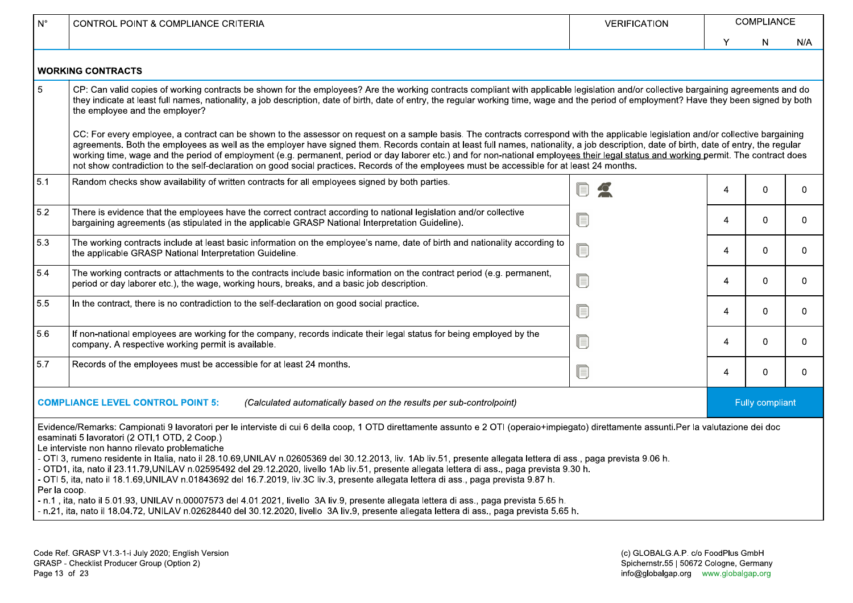| $N^{\circ}$  | CONTROL POINT & COMPLIANCE CRITERIA                                                                                                                                                                                                                                                                                                                                                                                                                                                                                                                                                                                                                                                                                    | <b>VERIFICATION</b> |                | <b>COMPLIANCE</b> |              |
|--------------|------------------------------------------------------------------------------------------------------------------------------------------------------------------------------------------------------------------------------------------------------------------------------------------------------------------------------------------------------------------------------------------------------------------------------------------------------------------------------------------------------------------------------------------------------------------------------------------------------------------------------------------------------------------------------------------------------------------------|---------------------|----------------|-------------------|--------------|
|              |                                                                                                                                                                                                                                                                                                                                                                                                                                                                                                                                                                                                                                                                                                                        |                     | Y              | N.                | N/A          |
|              | <b>WORKING CONTRACTS</b>                                                                                                                                                                                                                                                                                                                                                                                                                                                                                                                                                                                                                                                                                               |                     |                |                   |              |
| 5            | CP: Can valid copies of working contracts be shown for the employees? Are the working contracts compliant with applicable legislation and/or collective bargaining agreements and do<br>they indicate at least full names, nationality, a job description, date of birth, date of entry, the regular working time, wage and the period of employment? Have they been signed by both<br>the employee and the employer?                                                                                                                                                                                                                                                                                                  |                     |                |                   |              |
|              | CC: For every employee, a contract can be shown to the assessor on request on a sample basis. The contracts correspond with the applicable legislation and/or collective bargaining<br>agreements. Both the employees as well as the employer have signed them. Records contain at least full names, nationality, a job description, date of birth, date of entry, the regular<br>working time, wage and the period of employment (e.g. permanent, period or day laborer etc.) and for non-national employees their legal status and working permit. The contract does<br>not show contradiction to the self-declaration on good social practices. Records of the employees must be accessible for at least 24 months. |                     |                |                   |              |
| 5.1          | Random checks show availability of written contracts for all employees signed by both parties.                                                                                                                                                                                                                                                                                                                                                                                                                                                                                                                                                                                                                         | Q<br>$\bullet$      | $\overline{4}$ | $\Omega$          | $\Omega$     |
| 5.2          | There is evidence that the employees have the correct contract according to national legislation and/or collective<br>bargaining agreements (as stipulated in the applicable GRASP National Interpretation Guideline).                                                                                                                                                                                                                                                                                                                                                                                                                                                                                                 | ſ.                  | $\overline{4}$ | $\Omega$          | $\mathbf{0}$ |
| 5.3          | The working contracts include at least basic information on the employee's name, date of birth and nationality according to<br>the applicable GRASP National Interpretation Guideline.                                                                                                                                                                                                                                                                                                                                                                                                                                                                                                                                 | U                   | $\overline{4}$ | $\overline{0}$    | $\mathbf{0}$ |
| 5.4          | The working contracts or attachments to the contracts include basic information on the contract period (e.g. permanent,<br>period or day laborer etc.), the wage, working hours, breaks, and a basic job description.                                                                                                                                                                                                                                                                                                                                                                                                                                                                                                  | ſ.                  | $\overline{4}$ | $\Omega$          | $\Omega$     |
| 5.5          | In the contract, there is no contradiction to the self-declaration on good social practice.                                                                                                                                                                                                                                                                                                                                                                                                                                                                                                                                                                                                                            | ſ.                  | $\overline{4}$ | $\Omega$          | $\Omega$     |
| 5.6          | If non-national employees are working for the company, records indicate their legal status for being employed by the<br>company. A respective working permit is available.                                                                                                                                                                                                                                                                                                                                                                                                                                                                                                                                             | ſ.                  | $\overline{4}$ | $\mathbf{0}$      | $\mathbf{0}$ |
| 5.7          | Records of the employees must be accessible for at least 24 months.                                                                                                                                                                                                                                                                                                                                                                                                                                                                                                                                                                                                                                                    | ſ.                  | 4              | $\mathbf{0}$      | $\mathbf{0}$ |
|              | <b>COMPLIANCE LEVEL CONTROL POINT 5:</b><br>(Calculated automatically based on the results per sub-controlpoint)                                                                                                                                                                                                                                                                                                                                                                                                                                                                                                                                                                                                       |                     |                | Fully compliant   |              |
|              | Evidence/Remarks: Campionati 9 lavoratori per le interviste di cui 6 della coop, 1 OTD direttamente assunto e 2 OTI (operaio+impiegato) direttamente assunti.Per la valutazione dei doc<br>esaminati 5 lavoratori (2 OTI,1 OTD, 2 Coop.)                                                                                                                                                                                                                                                                                                                                                                                                                                                                               |                     |                |                   |              |
|              | Le interviste non hanno rilevato problematiche<br>- OTI 3, rumeno residente in Italia, nato il 28.10.69, UNILAV n.02605369 del 30.12.2013, liv. 1Ab liv.51, presente allegata lettera di ass., paga prevista 9.06 h.<br>- OTD1, ita, nato il 23.11.79,UNILAV n.02595492 del 29.12.2020, livello 1Ab liv.51, presente allegata lettera di ass., paga prevista 9.30 h.                                                                                                                                                                                                                                                                                                                                                   |                     |                |                   |              |
| Per la coop. | - OTI 5, ita, nato il 18.1.69,UNILAV n.01843692 del 16.7.2019, liv.3C liv.3, presente allegata lettera di ass., paga prevista 9.87 h.                                                                                                                                                                                                                                                                                                                                                                                                                                                                                                                                                                                  |                     |                |                   |              |
|              | - n.1, ita, nato il 5.01.93, UNILAV n.00007573 del 4.01.2021, livello 3A liv.9, presente allegata lettera di ass., paga prevista 5.65 h.<br>- n.21, ita, nato il 18.04.72, UNILAV n.02628440 del 30.12.2020, livello 3A liv.9, presente allegata lettera di ass., paga prevista 5.65 h.                                                                                                                                                                                                                                                                                                                                                                                                                                |                     |                |                   |              |
|              |                                                                                                                                                                                                                                                                                                                                                                                                                                                                                                                                                                                                                                                                                                                        |                     |                |                   |              |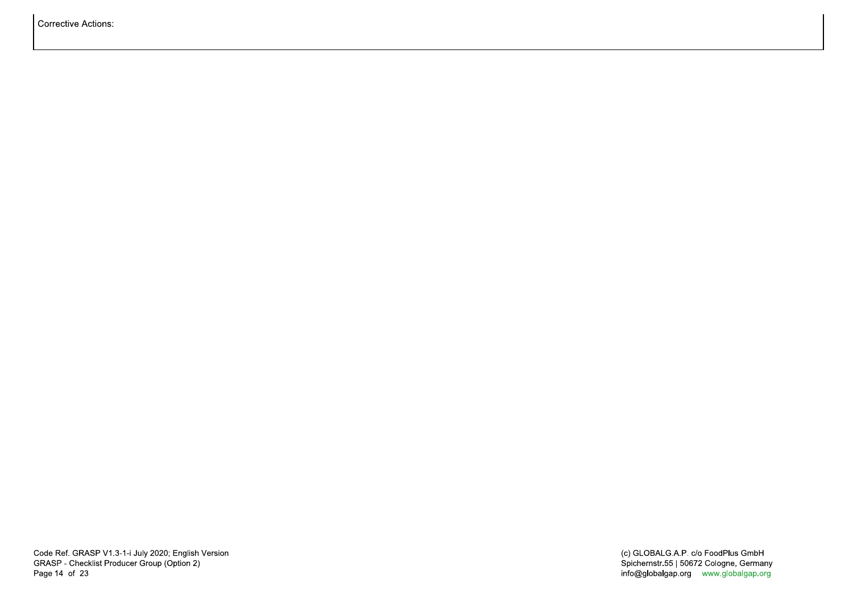Corrective Actions: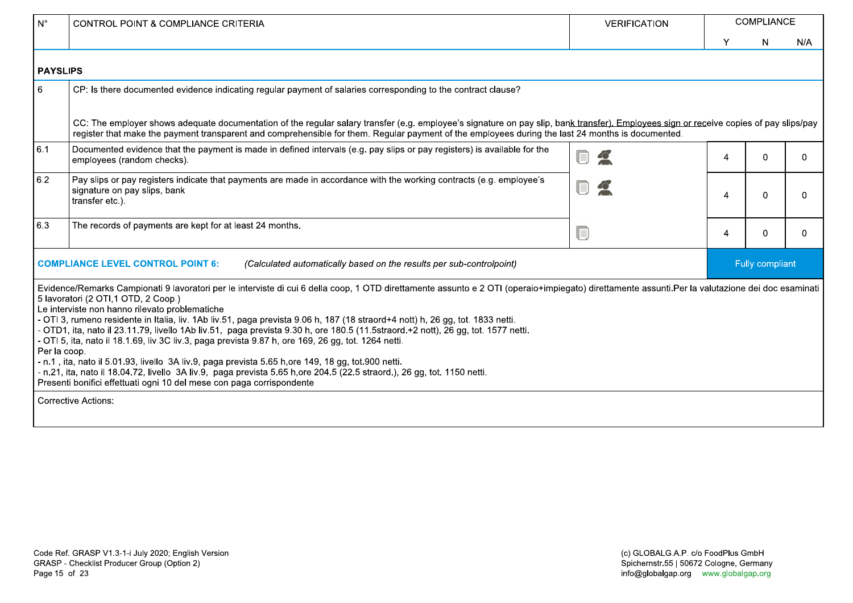| $\mathsf{N}^\circ$ | <b>CONTROL POINT &amp; COMPLIANCE CRITERIA</b>                                                                                                                                                                                                                                                                                                                                                                                                                                                                                                                                                                                                                                                                                                                                                                                                                                                                                                                                                                    | <b>VERIFICATION</b> |                | <b>COMPLIANCE</b> |          |
|--------------------|-------------------------------------------------------------------------------------------------------------------------------------------------------------------------------------------------------------------------------------------------------------------------------------------------------------------------------------------------------------------------------------------------------------------------------------------------------------------------------------------------------------------------------------------------------------------------------------------------------------------------------------------------------------------------------------------------------------------------------------------------------------------------------------------------------------------------------------------------------------------------------------------------------------------------------------------------------------------------------------------------------------------|---------------------|----------------|-------------------|----------|
|                    |                                                                                                                                                                                                                                                                                                                                                                                                                                                                                                                                                                                                                                                                                                                                                                                                                                                                                                                                                                                                                   |                     | Y              | N.                | N/A      |
| <b>PAYSLIPS</b>    |                                                                                                                                                                                                                                                                                                                                                                                                                                                                                                                                                                                                                                                                                                                                                                                                                                                                                                                                                                                                                   |                     |                |                   |          |
| $6\phantom{1}6$    | CP: Is there documented evidence indicating regular payment of salaries corresponding to the contract clause?                                                                                                                                                                                                                                                                                                                                                                                                                                                                                                                                                                                                                                                                                                                                                                                                                                                                                                     |                     |                |                   |          |
|                    | CC: The employer shows adequate documentation of the regular salary transfer (e.g. employee's signature on pay slip, bank transfer). Employees sign or receive copies of pay slips/pay<br>register that make the payment transparent and comprehensible for them. Regular payment of the employees during the last 24 months is documented.                                                                                                                                                                                                                                                                                                                                                                                                                                                                                                                                                                                                                                                                       |                     |                |                   |          |
| 6.1                | Documented evidence that the payment is made in defined intervals (e.g. pay slips or pay registers) is available for the<br>employees (random checks).                                                                                                                                                                                                                                                                                                                                                                                                                                                                                                                                                                                                                                                                                                                                                                                                                                                            |                     | $\overline{A}$ | $\Omega$          | $\Omega$ |
| 6.2                | Pay slips or pay registers indicate that payments are made in accordance with the working contracts (e.g. employee's<br>signature on pay slips, bank<br>transfer etc.).                                                                                                                                                                                                                                                                                                                                                                                                                                                                                                                                                                                                                                                                                                                                                                                                                                           |                     | Δ              | $\Omega$          | 0        |
| 6.3                | The records of payments are kept for at least 24 months.                                                                                                                                                                                                                                                                                                                                                                                                                                                                                                                                                                                                                                                                                                                                                                                                                                                                                                                                                          | Q                   | $\overline{4}$ | $\Omega$          | $\Omega$ |
|                    | <b>COMPLIANCE LEVEL CONTROL POINT 6:</b><br>(Calculated automatically based on the results per sub-controlpoint)                                                                                                                                                                                                                                                                                                                                                                                                                                                                                                                                                                                                                                                                                                                                                                                                                                                                                                  |                     |                | Fully compliant   |          |
| Per la coop.       | Evidence/Remarks Campionati 9 lavoratori per le interviste di cui 6 della coop, 1 OTD direttamente assunto e 2 OTI (operaio+impiegato) direttamente assunti.Per la valutazione dei doc esaminati<br>5 lavoratori (2 OTI,1 OTD, 2 Coop.)<br>Le interviste non hanno rilevato problematiche<br>- OTI 3, rumeno residente in Italia, liv. 1Ab liv.51, paga prevista 9.06 h, 187 (18 straord+4 nott) h, 26 gg, tot. 1833 netti.<br>- OTD1, ita, nato il 23.11.79, livello 1Ab liv.51, paga prevista 9.30 h, ore 180.5 (11.5straord.+2 nott), 26 gg, tot. 1577 netti.<br>- OTI 5, ita, nato il 18.1.69, liv.3C liv.3, paga prevista 9.87 h, ore 169, 26 gg, tot. 1264 netti.<br>- n.1, ita, nato il 5.01.93, livello 3A liv.9, paga prevista 5.65 h, ore 149, 18 gg, tot.900 netti.<br>- n.21, ita, nato il 18.04.72, livello 3A liv.9, paga prevista 5.65 h,ore 204.5 (22.5 straord.), 26 gg, tot. 1150 netti.<br>Presenti bonifici effettuati ogni 10 del mese con paga corrispondente<br><b>Corrective Actions:</b> |                     |                |                   |          |
|                    |                                                                                                                                                                                                                                                                                                                                                                                                                                                                                                                                                                                                                                                                                                                                                                                                                                                                                                                                                                                                                   |                     |                |                   |          |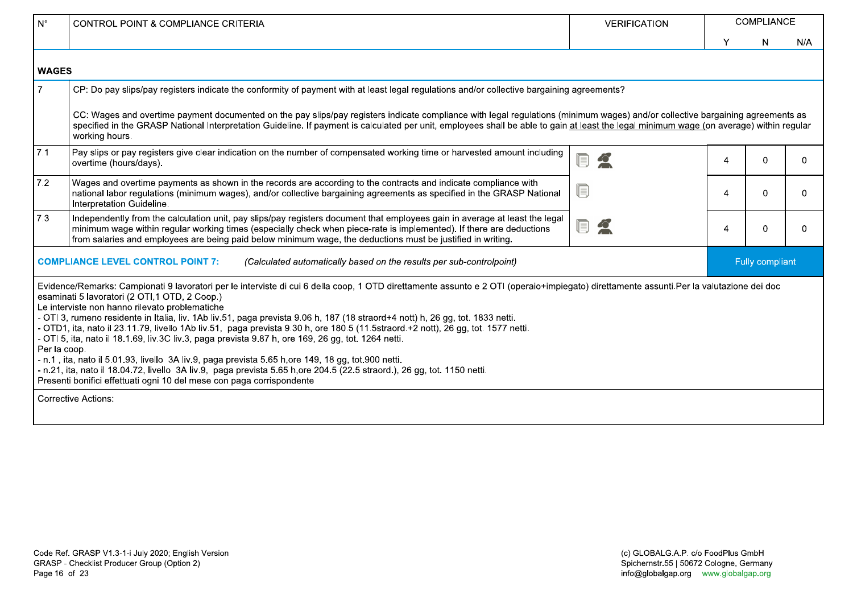| $N^{\circ}$    | <b>CONTROL POINT &amp; COMPLIANCE CRITERIA</b>                                                                                                                                                                                                                                                                                                                                                                                                                                                                                                                                                                                                                                                                                                                                                                                                                                                                                                                                        | <b>VERIFICATION</b> |   | <b>COMPLIANCE</b> |          |
|----------------|---------------------------------------------------------------------------------------------------------------------------------------------------------------------------------------------------------------------------------------------------------------------------------------------------------------------------------------------------------------------------------------------------------------------------------------------------------------------------------------------------------------------------------------------------------------------------------------------------------------------------------------------------------------------------------------------------------------------------------------------------------------------------------------------------------------------------------------------------------------------------------------------------------------------------------------------------------------------------------------|---------------------|---|-------------------|----------|
|                |                                                                                                                                                                                                                                                                                                                                                                                                                                                                                                                                                                                                                                                                                                                                                                                                                                                                                                                                                                                       |                     | Υ | <sup>N</sup>      | N/A      |
| <b>WAGES</b>   |                                                                                                                                                                                                                                                                                                                                                                                                                                                                                                                                                                                                                                                                                                                                                                                                                                                                                                                                                                                       |                     |   |                   |          |
| $\overline{7}$ | CP: Do pay slips/pay registers indicate the conformity of payment with at least legal regulations and/or collective bargaining agreements?                                                                                                                                                                                                                                                                                                                                                                                                                                                                                                                                                                                                                                                                                                                                                                                                                                            |                     |   |                   |          |
|                | CC: Wages and overtime payment documented on the pay slips/pay registers indicate compliance with legal regulations (minimum wages) and/or collective bargaining agreements as<br>specified in the GRASP National Interpretation Guideline. If payment is calculated per unit, employees shall be able to gain at least the legal minimum wage (on average) within regular<br>working hours.                                                                                                                                                                                                                                                                                                                                                                                                                                                                                                                                                                                          |                     |   |                   |          |
| 7.1            | Pay slips or pay registers give clear indication on the number of compensated working time or harvested amount including<br>overtime (hours/days).                                                                                                                                                                                                                                                                                                                                                                                                                                                                                                                                                                                                                                                                                                                                                                                                                                    | n                   | 4 | 0                 | $\Omega$ |
| 7.2            | Wages and overtime payments as shown in the records are according to the contracts and indicate compliance with<br>national labor regulations (minimum wages), and/or collective bargaining agreements as specified in the GRASP National<br>Interpretation Guideline.                                                                                                                                                                                                                                                                                                                                                                                                                                                                                                                                                                                                                                                                                                                |                     | 4 | 0                 | $\Omega$ |
| 7.3            | Independently from the calculation unit, pay slips/pay registers document that employees gain in average at least the legal<br>minimum wage within regular working times (especially check when piece-rate is implemented). If there are deductions<br>from salaries and employees are being paid below minimum wage, the deductions must be justified in writing.                                                                                                                                                                                                                                                                                                                                                                                                                                                                                                                                                                                                                    |                     | 4 | 0                 | $\Omega$ |
|                | <b>COMPLIANCE LEVEL CONTROL POINT 7:</b><br>(Calculated automatically based on the results per sub-controlpoint)                                                                                                                                                                                                                                                                                                                                                                                                                                                                                                                                                                                                                                                                                                                                                                                                                                                                      |                     |   | Fully compliant   |          |
| Per la coop.   | Evidence/Remarks: Campionati 9 lavoratori per le interviste di cui 6 della coop, 1 OTD direttamente assunto e 2 OTI (operaio+impiegato) direttamente assunti.Per la valutazione dei doc<br>esaminati 5 lavoratori (2 OTI,1 OTD, 2 Coop.)<br>Le interviste non hanno rilevato problematiche<br>- OTI 3, rumeno residente in Italia, liv. 1Ab liv.51, paga prevista 9.06 h, 187 (18 straord+4 nott) h, 26 gg, tot. 1833 netti.<br>- OTD1, ita, nato il 23.11.79, livello 1Ab liv.51, paga prevista 9.30 h, ore 180.5 (11.5straord.+2 nott), 26 gg, tot. 1577 netti.<br>- OTI 5, ita, nato il 18.1.69, liv.3C liv.3, paga prevista 9.87 h, ore 169, 26 gg, tot. 1264 netti.<br>- n.1, ita, nato il 5.01.93, livello 3A liv.9, paga prevista 5.65 h, ore 149, 18 gg, tot.900 netti.<br>- n.21, ita, nato il 18.04.72, livello 3A liv.9, paga prevista 5.65 h, ore 204.5 (22.5 straord.), 26 gg, tot. 1150 netti.<br>Presenti bonifici effettuati ogni 10 del mese con paga corrispondente |                     |   |                   |          |
|                | <b>Corrective Actions:</b>                                                                                                                                                                                                                                                                                                                                                                                                                                                                                                                                                                                                                                                                                                                                                                                                                                                                                                                                                            |                     |   |                   |          |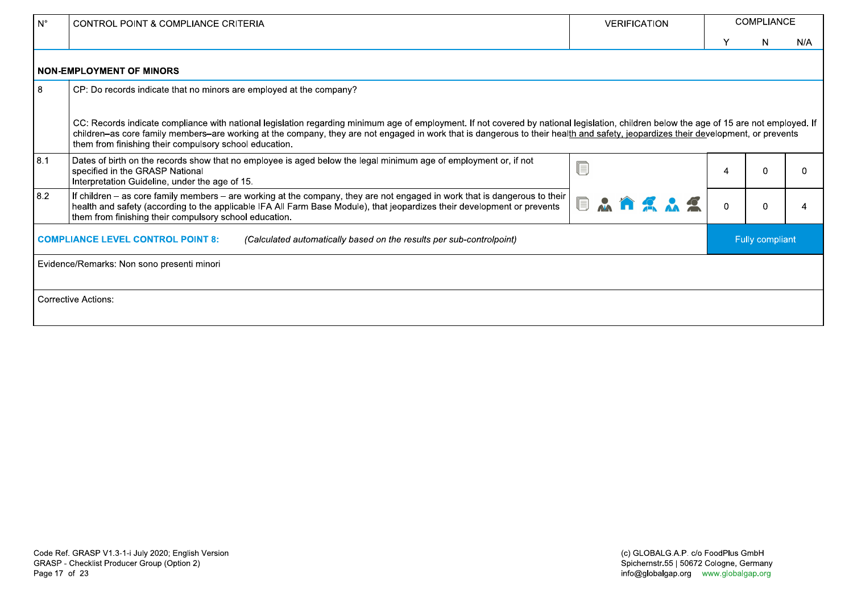| $N^{\circ}$ | <b>CONTROL POINT &amp; COMPLIANCE CRITERIA</b>                                                                                                                                                                                                                                                                                                                                                                                          | <b>VERIFICATION</b>          |          | <b>COMPLIANCE</b> |          |
|-------------|-----------------------------------------------------------------------------------------------------------------------------------------------------------------------------------------------------------------------------------------------------------------------------------------------------------------------------------------------------------------------------------------------------------------------------------------|------------------------------|----------|-------------------|----------|
|             |                                                                                                                                                                                                                                                                                                                                                                                                                                         |                              |          | N                 | N/A      |
|             | <b>NON-EMPLOYMENT OF MINORS</b>                                                                                                                                                                                                                                                                                                                                                                                                         |                              |          |                   |          |
| 8           | CP: Do records indicate that no minors are employed at the company?                                                                                                                                                                                                                                                                                                                                                                     |                              |          |                   |          |
|             | CC: Records indicate compliance with national legislation regarding minimum age of employment. If not covered by national legislation, children below the age of 15 are not employed. If<br>children-as core family members-are working at the company, they are not engaged in work that is dangerous to their health and safety, jeopardizes their development, or prevents<br>them from finishing their compulsory school education. |                              |          |                   |          |
| 8.1         | Dates of birth on the records show that no employee is aged below the legal minimum age of employment or, if not<br>specified in the GRASP National<br>Interpretation Guideline, under the age of 15.                                                                                                                                                                                                                                   |                              | 4        | n                 | $\Omega$ |
| 8.2         | If children – as core family members – are working at the company, they are not engaged in work that is dangerous to their<br>health and safety (according to the applicable IFA All Farm Base Module), that jeopardizes their development or prevents<br>them from finishing their compulsory school education.                                                                                                                        | $\blacksquare$<br>$\sqrt{2}$ | $\Omega$ |                   |          |
|             | <b>COMPLIANCE LEVEL CONTROL POINT 8:</b><br>(Calculated automatically based on the results per sub-controlpoint)                                                                                                                                                                                                                                                                                                                        |                              |          | Fully compliant   |          |
|             | Evidence/Remarks: Non sono presenti minori                                                                                                                                                                                                                                                                                                                                                                                              |                              |          |                   |          |
|             | <b>Corrective Actions:</b>                                                                                                                                                                                                                                                                                                                                                                                                              |                              |          |                   |          |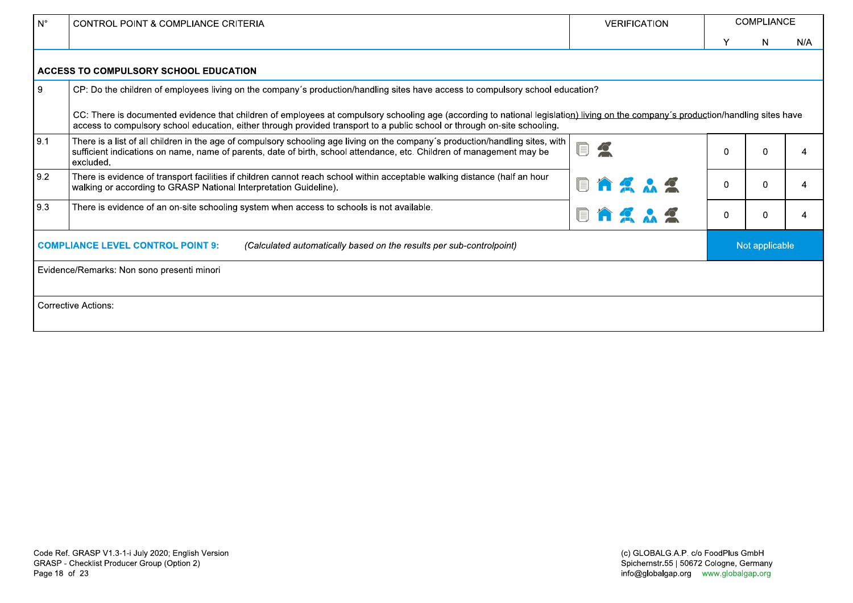| $N^{\circ}$ | CONTROL POINT & COMPLIANCE CRITERIA                                                                                                                                                                                                                                                                             | <b>VERIFICATION</b>                             |             | <b>COMPLIANCE</b> |     |
|-------------|-----------------------------------------------------------------------------------------------------------------------------------------------------------------------------------------------------------------------------------------------------------------------------------------------------------------|-------------------------------------------------|-------------|-------------------|-----|
|             |                                                                                                                                                                                                                                                                                                                 |                                                 |             | N.                | N/A |
|             | ACCESS TO COMPULSORY SCHOOL EDUCATION                                                                                                                                                                                                                                                                           |                                                 |             |                   |     |
| 9           | CP: Do the children of employees living on the company's production/handling sites have access to compulsory school education?                                                                                                                                                                                  |                                                 |             |                   |     |
|             | CC: There is documented evidence that children of employees at compulsory schooling age (according to national legislation) living on the company's production/handling sites have<br>access to compulsory school education, either through provided transport to a public school or through on-site schooling. |                                                 |             |                   |     |
| 9.1         | There is a list of all children in the age of compulsory schooling age living on the company's production/handling sites, with<br>sufficient indications on name, name of parents, date of birth, school attendance, etc. Children of management may be<br>excluded.                                            | $\textcolor{red}{\blacksquare}$<br>$\mathbf{C}$ | $\Omega$    | $\Omega$          | 4   |
| 9.2         | There is evidence of transport facilities if children cannot reach school within acceptable walking distance (half an hour<br>walking or according to GRASP National Interpretation Guideline).                                                                                                                 |                                                 | $\Omega$    | $\mathbf{0}$      | 4   |
| 9.3         | There is evidence of an on-site schooling system when access to schools is not available.                                                                                                                                                                                                                       | Q                                               | $\mathbf 0$ | $\overline{0}$    | 4   |
|             | <b>COMPLIANCE LEVEL CONTROL POINT 9:</b><br>(Calculated automatically based on the results per sub-controlpoint)                                                                                                                                                                                                |                                                 |             | Not applicable    |     |
|             | Evidence/Remarks: Non sono presenti minori                                                                                                                                                                                                                                                                      |                                                 |             |                   |     |
|             |                                                                                                                                                                                                                                                                                                                 |                                                 |             |                   |     |
|             | <b>Corrective Actions:</b>                                                                                                                                                                                                                                                                                      |                                                 |             |                   |     |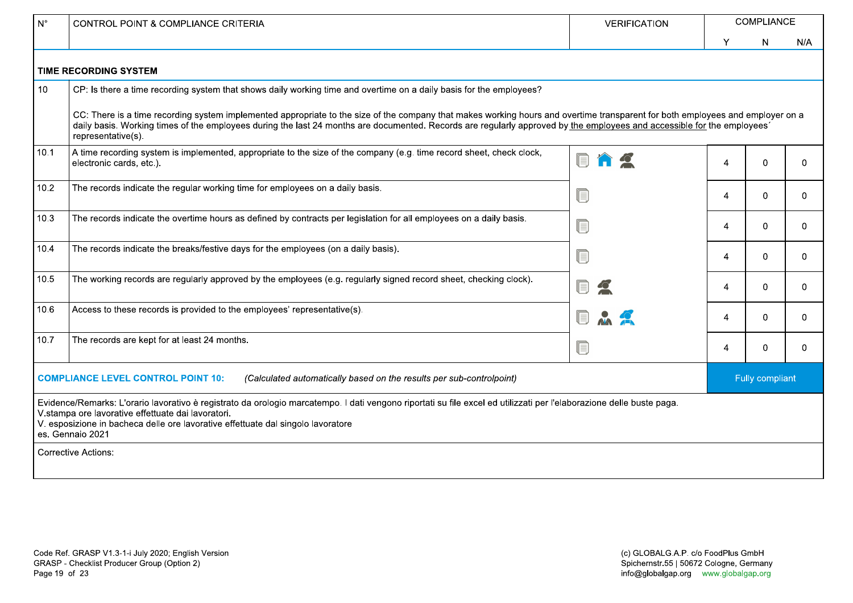| $N^{\circ}$     | <b>CONTROL POINT &amp; COMPLIANCE CRITERIA</b>                                                                                                                                                                                                                                                                                                                                  | <b>VERIFICATION</b> |   | COMPLIANCE             |              |
|-----------------|---------------------------------------------------------------------------------------------------------------------------------------------------------------------------------------------------------------------------------------------------------------------------------------------------------------------------------------------------------------------------------|---------------------|---|------------------------|--------------|
|                 |                                                                                                                                                                                                                                                                                                                                                                                 |                     | Y | N                      | N/A          |
|                 | <b>TIME RECORDING SYSTEM</b>                                                                                                                                                                                                                                                                                                                                                    |                     |   |                        |              |
| 10 <sup>°</sup> | CP: Is there a time recording system that shows daily working time and overtime on a daily basis for the employees?                                                                                                                                                                                                                                                             |                     |   |                        |              |
|                 | CC: There is a time recording system implemented appropriate to the size of the company that makes working hours and overtime transparent for both employees and employer on a<br>daily basis. Working times of the employees during the last 24 months are documented. Records are regularly approved by the employees and accessible for the employees'<br>representative(s). |                     |   |                        |              |
| 10.1            | A time recording system is implemented, appropriate to the size of the company (e.g. time record sheet, check clock,<br>electronic cards, etc.).                                                                                                                                                                                                                                |                     | 4 | $\Omega$               | $\mathbf 0$  |
| 10.2            | The records indicate the regular working time for employees on a daily basis.                                                                                                                                                                                                                                                                                                   | ſ.                  | 4 | 0                      | $\Omega$     |
| 10.3            | The records indicate the overtime hours as defined by contracts per legislation for all employees on a daily basis.                                                                                                                                                                                                                                                             | ſ.                  | 4 | 0                      | $\Omega$     |
| 10.4            | The records indicate the breaks/festive days for the employees (on a daily basis).                                                                                                                                                                                                                                                                                              | le.                 | 4 | 0                      | $\Omega$     |
| 10.5            | The working records are regularly approved by the employees (e.g. regularly signed record sheet, checking clock).                                                                                                                                                                                                                                                               | E                   | 4 | $\Omega$               | $\mathbf{0}$ |
| 10.6            | Access to these records is provided to the employees' representative(s).                                                                                                                                                                                                                                                                                                        | IEI                 | 4 | $\Omega$               | $\Omega$     |
| 10.7            | The records are kept for at least 24 months.                                                                                                                                                                                                                                                                                                                                    | $\blacksquare$      | 4 | 0                      | $\mathbf{0}$ |
|                 | <b>COMPLIANCE LEVEL CONTROL POINT 10:</b><br>(Calculated automatically based on the results per sub-controlpoint)                                                                                                                                                                                                                                                               |                     |   | <b>Fully compliant</b> |              |
|                 | Evidence/Remarks: L'orario lavorativo è registrato da orologio marcatempo. I dati vengono riportati su file excel ed utilizzati per l'elaborazione delle buste paga.<br>V.stampa ore lavorative effettuate dai lavoratori.<br>V. esposizione in bacheca delle ore lavorative effettuate dal singolo lavoratore<br>es. Gennaio 2021                                              |                     |   |                        |              |
|                 | Corrective Actions:                                                                                                                                                                                                                                                                                                                                                             |                     |   |                        |              |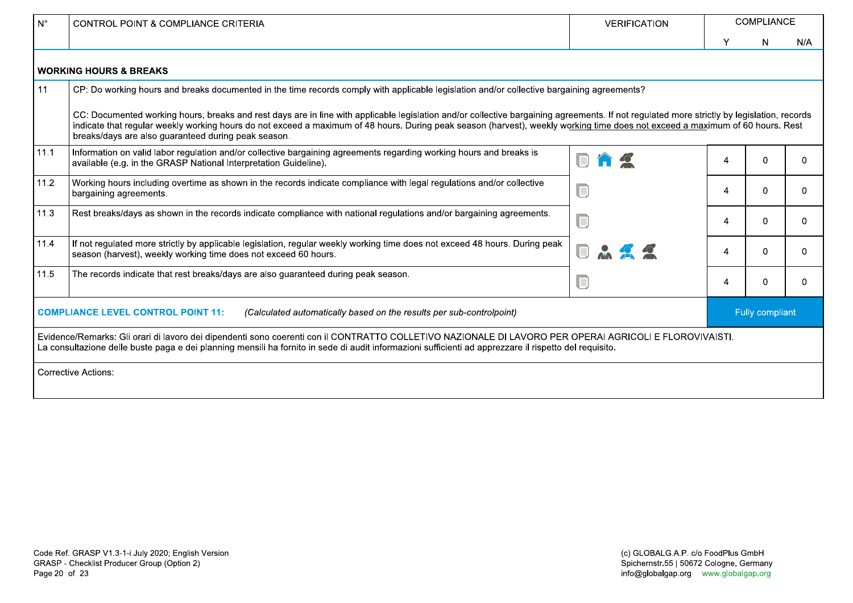| $N^{\circ}$ | <b>CONTROL POINT &amp; COMPLIANCE CRITERIA</b>                                                                                                                                                                                                                                                                                                                                                                                     | <b>VERIFICATION</b> |   | <b>COMPLIANCE</b> |          |
|-------------|------------------------------------------------------------------------------------------------------------------------------------------------------------------------------------------------------------------------------------------------------------------------------------------------------------------------------------------------------------------------------------------------------------------------------------|---------------------|---|-------------------|----------|
|             |                                                                                                                                                                                                                                                                                                                                                                                                                                    |                     | Y | N                 | N/A      |
|             | <b>WORKING HOURS &amp; BREAKS</b>                                                                                                                                                                                                                                                                                                                                                                                                  |                     |   |                   |          |
| 11          | CP: Do working hours and breaks documented in the time records comply with applicable legislation and/or collective bargaining agreements?                                                                                                                                                                                                                                                                                         |                     |   |                   |          |
|             | CC: Documented working hours, breaks and rest days are in line with applicable legislation and/or collective bargaining agreements. If not regulated more strictly by legislation, records<br>indicate that regular weekly working hours do not exceed a maximum of 48 hours. During peak season (harvest), weekly working time does not exceed a maximum of 60 hours. Rest<br>breaks/days are also guaranteed during peak season. |                     |   |                   |          |
| 11.1        | Information on valid labor regulation and/or collective bargaining agreements regarding working hours and breaks is<br>available (e.g. in the GRASP National Interpretation Guideline).                                                                                                                                                                                                                                            |                     | Δ |                   | $\Omega$ |
| 11.2        | Working hours including overtime as shown in the records indicate compliance with legal regulations and/or collective<br>bargaining agreements.                                                                                                                                                                                                                                                                                    |                     | 4 | <sup>0</sup>      | 0        |
| 11.3        | Rest breaks/days as shown in the records indicate compliance with national regulations and/or bargaining agreements.                                                                                                                                                                                                                                                                                                               |                     | Δ | <sup>n</sup>      | 0        |
| 11.4        | If not regulated more strictly by applicable legislation, regular weekly working time does not exceed 48 hours. During peak<br>season (harvest), weekly working time does not exceed 60 hours.                                                                                                                                                                                                                                     |                     | Δ | <sup>n</sup>      | $\Omega$ |
| 11.5        | The records indicate that rest breaks/days are also guaranteed during peak season.                                                                                                                                                                                                                                                                                                                                                 |                     | Δ |                   | $\Omega$ |
|             | <b>COMPLIANCE LEVEL CONTROL POINT 11:</b><br>(Calculated automatically based on the results per sub-controlpoint)                                                                                                                                                                                                                                                                                                                  |                     |   | Fully compliant   |          |
|             | Evidence/Remarks: Gli orari di lavoro dei dipendenti sono coerenti con il CONTRATTO COLLETIVO NAZIONALE DI LAVORO PER OPERAI AGRICOLI E FLOROVIVAISTI.<br>La consultazione delle buste paga e dei planning mensili ha fornito in sede di audit informazioni sufficienti ad apprezzare il rispetto del requisito.                                                                                                                   |                     |   |                   |          |
|             | <b>Corrective Actions:</b>                                                                                                                                                                                                                                                                                                                                                                                                         |                     |   |                   |          |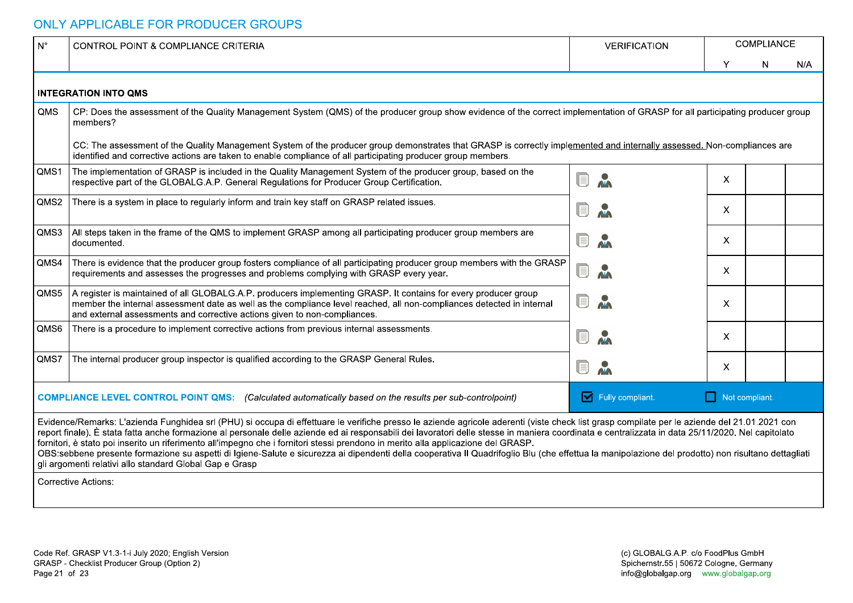| $\mid N^{\circ}$ | CONTROL POINT & COMPLIANCE CRITERIA                                                                                                                                                                                                                                                                                                                                                                                                                                                                                                                                                                                                                                                                                                                                                                                                   | <b>VERIFICATION</b>                                                           |                           | <b>COMPLIANCE</b> |     |
|------------------|---------------------------------------------------------------------------------------------------------------------------------------------------------------------------------------------------------------------------------------------------------------------------------------------------------------------------------------------------------------------------------------------------------------------------------------------------------------------------------------------------------------------------------------------------------------------------------------------------------------------------------------------------------------------------------------------------------------------------------------------------------------------------------------------------------------------------------------|-------------------------------------------------------------------------------|---------------------------|-------------------|-----|
|                  |                                                                                                                                                                                                                                                                                                                                                                                                                                                                                                                                                                                                                                                                                                                                                                                                                                       |                                                                               | $\checkmark$              | N                 | N/A |
|                  | <b>INTEGRATION INTO QMS</b>                                                                                                                                                                                                                                                                                                                                                                                                                                                                                                                                                                                                                                                                                                                                                                                                           |                                                                               |                           |                   |     |
| QMS              | CP: Does the assessment of the Quality Management System (QMS) of the producer group show evidence of the correct implementation of GRASP for all participating producer group<br>members?                                                                                                                                                                                                                                                                                                                                                                                                                                                                                                                                                                                                                                            |                                                                               |                           |                   |     |
|                  | CC: The assessment of the Quality Management System of the producer group demonstrates that GRASP is correctly implemented and internally assessed. Non-compliances are<br>identified and corrective actions are taken to enable compliance of all participating producer group members.                                                                                                                                                                                                                                                                                                                                                                                                                                                                                                                                              |                                                                               |                           |                   |     |
| QMS1             | The implementation of GRASP is included in the Quality Management System of the producer group, based on the<br>respective part of the GLOBALG.A.P. General Regulations for Producer Group Certification.                                                                                                                                                                                                                                                                                                                                                                                                                                                                                                                                                                                                                             | $\textcolor{red}{\blacksquare}$<br>$\mathbf{v}$                               | $\boldsymbol{\mathsf{X}}$ |                   |     |
| QMS2             | There is a system in place to regularly inform and train key staff on GRASP related issues.                                                                                                                                                                                                                                                                                                                                                                                                                                                                                                                                                                                                                                                                                                                                           | $\mathbf{v}$<br>UJ                                                            | $\mathsf{X}$              |                   |     |
|                  | QMS3   All steps taken in the frame of the QMS to implement GRASP among all participating producer group members are<br>documented.                                                                                                                                                                                                                                                                                                                                                                                                                                                                                                                                                                                                                                                                                                   | $\mathbf{v}$<br>UJ                                                            | $\mathsf{X}$              |                   |     |
| QMS4             | There is evidence that the producer group fosters compliance of all participating producer group members with the GRASP<br>requirements and assesses the progresses and problems complying with GRASP every year.                                                                                                                                                                                                                                                                                                                                                                                                                                                                                                                                                                                                                     | <b>A</b><br>$\textcolor{red}{\blacksquare}$                                   | $\mathsf{X}$              |                   |     |
|                  | QMS5   A register is maintained of all GLOBALG.A.P. producers implementing GRASP. It contains for every producer group<br>member the internal assessment date as well as the compliance level reached, all non-compliances detected in internal<br>and external assessments and corrective actions given to non-compliances.                                                                                                                                                                                                                                                                                                                                                                                                                                                                                                          | $\Box$                                                                        | X.                        |                   |     |
| QMS6             | There is a procedure to implement corrective actions from previous internal assessments.                                                                                                                                                                                                                                                                                                                                                                                                                                                                                                                                                                                                                                                                                                                                              | $\mathbf{v}$<br>Uij                                                           | X.                        |                   |     |
|                  | QMS7 The internal producer group inspector is qualified according to the GRASP General Rules.                                                                                                                                                                                                                                                                                                                                                                                                                                                                                                                                                                                                                                                                                                                                         | M                                                                             | X.                        |                   |     |
|                  | <b>COMPLIANCE LEVEL CONTROL POINT QMS:</b> (Calculated automatically based on the results per sub-controlpoint)                                                                                                                                                                                                                                                                                                                                                                                                                                                                                                                                                                                                                                                                                                                       | Fully compliant.                                                              | Not compliant.            |                   |     |
|                  | Evidence/Remarks: L'azienda Funghidea srl (PHU) si occupa di effettuare le verifiche presso le aziende agricole aderenti (viste check list grasp compilate per le aziende del 21.01.2021 con<br>report finale). È stata fatta anche formazione al personale delle aziende ed ai responsabili dei lavoratori delle stesse in maniera coordinata e centralizzata in data 25/11/2020. Nel capitolato<br>fornitori, è stato poi inserito un riferimento all'impegno che i fornitori stessi prendono in merito alla applicazione del GRASP.<br>OBS:sebbene presente formazione su aspetti di Igiene-Salute e sicurezza ai dipendenti della cooperativa Il Quadrifoglio Blu (che effettua la manipolazione del prodotto) non risultano dettagliati<br>gli argomenti relativi allo standard Global Gap e Grasp<br><b>Corrective Actions:</b> |                                                                               |                           |                   |     |
|                  |                                                                                                                                                                                                                                                                                                                                                                                                                                                                                                                                                                                                                                                                                                                                                                                                                                       |                                                                               |                           |                   |     |
|                  |                                                                                                                                                                                                                                                                                                                                                                                                                                                                                                                                                                                                                                                                                                                                                                                                                                       |                                                                               |                           |                   |     |
|                  | Code Ref. GRASP V1.3-1-i July 2020; English Version<br>GRASP - Checklist Producer Group (Option 2)                                                                                                                                                                                                                                                                                                                                                                                                                                                                                                                                                                                                                                                                                                                                    | (c) GLOBALG.A.P. c/o FoodPlus GmbH<br>Spichernstr.55   50672 Cologne, Germany |                           |                   |     |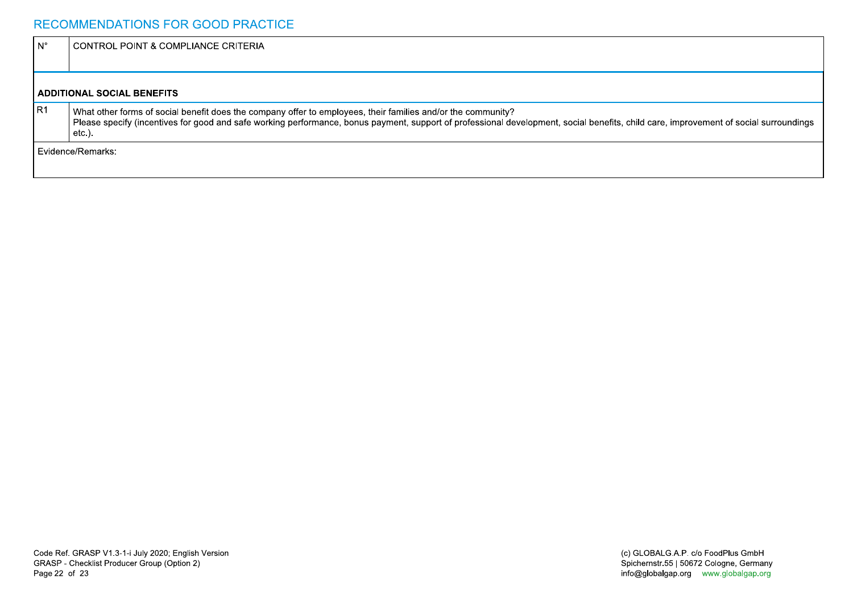### RECOMMENDATIONS FOR GOOD PRACTICE

| l N° | CONTROL POINT & COMPLIANCE CRITERIA                                                                                                                                                                                                                                                                                |
|------|--------------------------------------------------------------------------------------------------------------------------------------------------------------------------------------------------------------------------------------------------------------------------------------------------------------------|
|      |                                                                                                                                                                                                                                                                                                                    |
|      | <b>ADDITIONAL SOCIAL BENEFITS</b>                                                                                                                                                                                                                                                                                  |
| IR1  | What other forms of social benefit does the company offer to employees, their families and/or the community?<br>Please specify (incentives for good and safe working performance, bonus payment, support of professional development, social benefits, child care, improvement of social surroundings<br>$etc.$ ). |
|      | l Evidence/Remarks:                                                                                                                                                                                                                                                                                                |